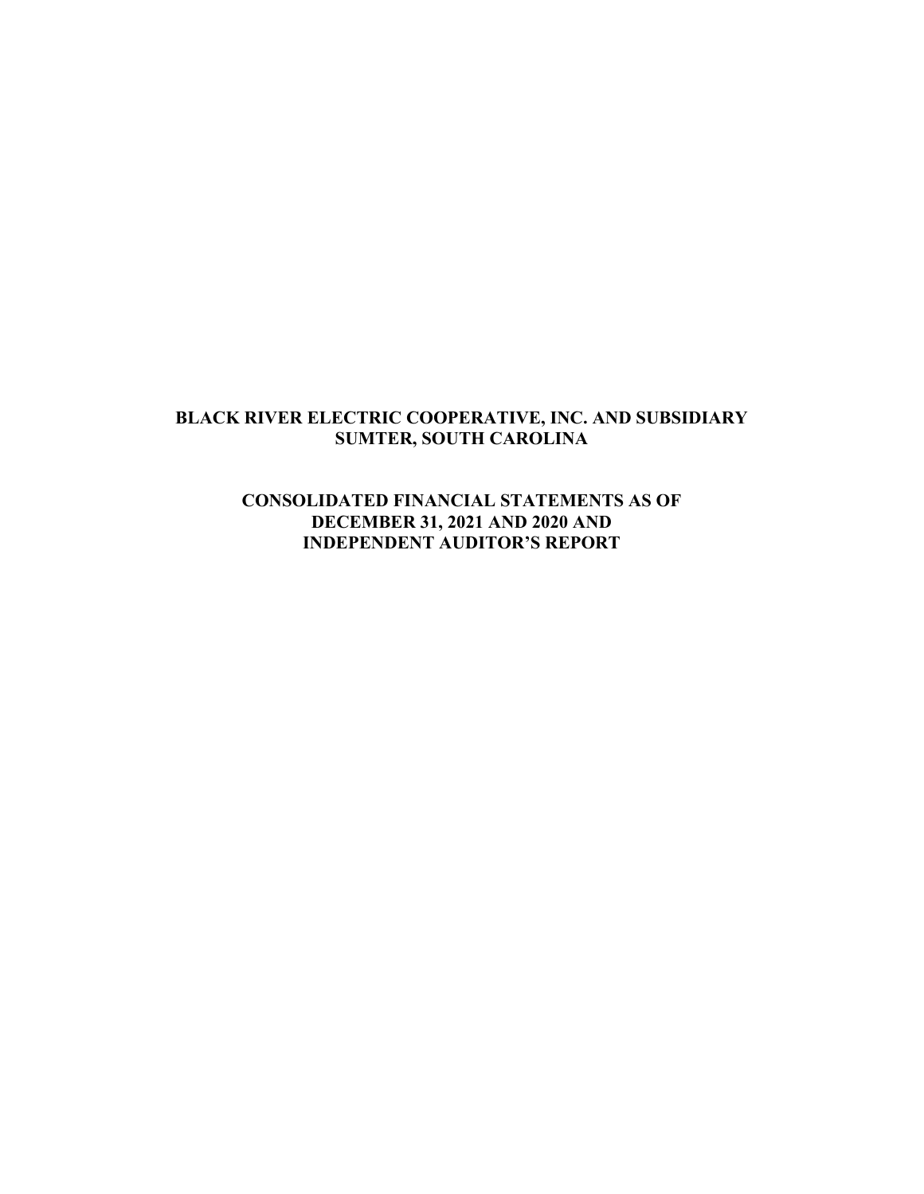### **BLACK RIVER ELECTRIC COOPERATIVE, INC. AND SUBSIDIARY SUMTER, SOUTH CAROLINA**

## **CONSOLIDATED FINANCIAL STATEMENTS AS OF DECEMBER 31, 2021 AND 2020 AND INDEPENDENT AUDITOR'S REPORT**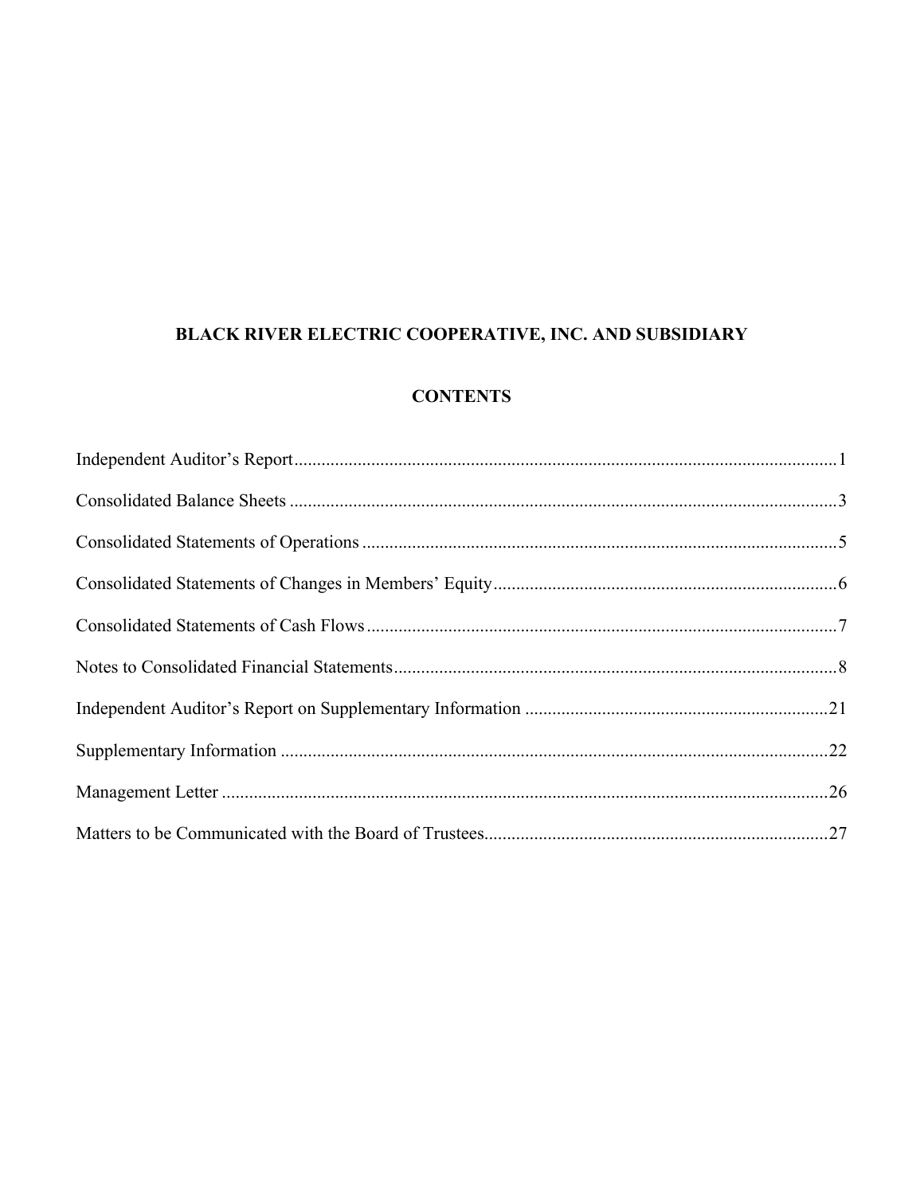# BLACK RIVER ELECTRIC COOPERATIVE, INC. AND SUBSIDIARY

## **CONTENTS**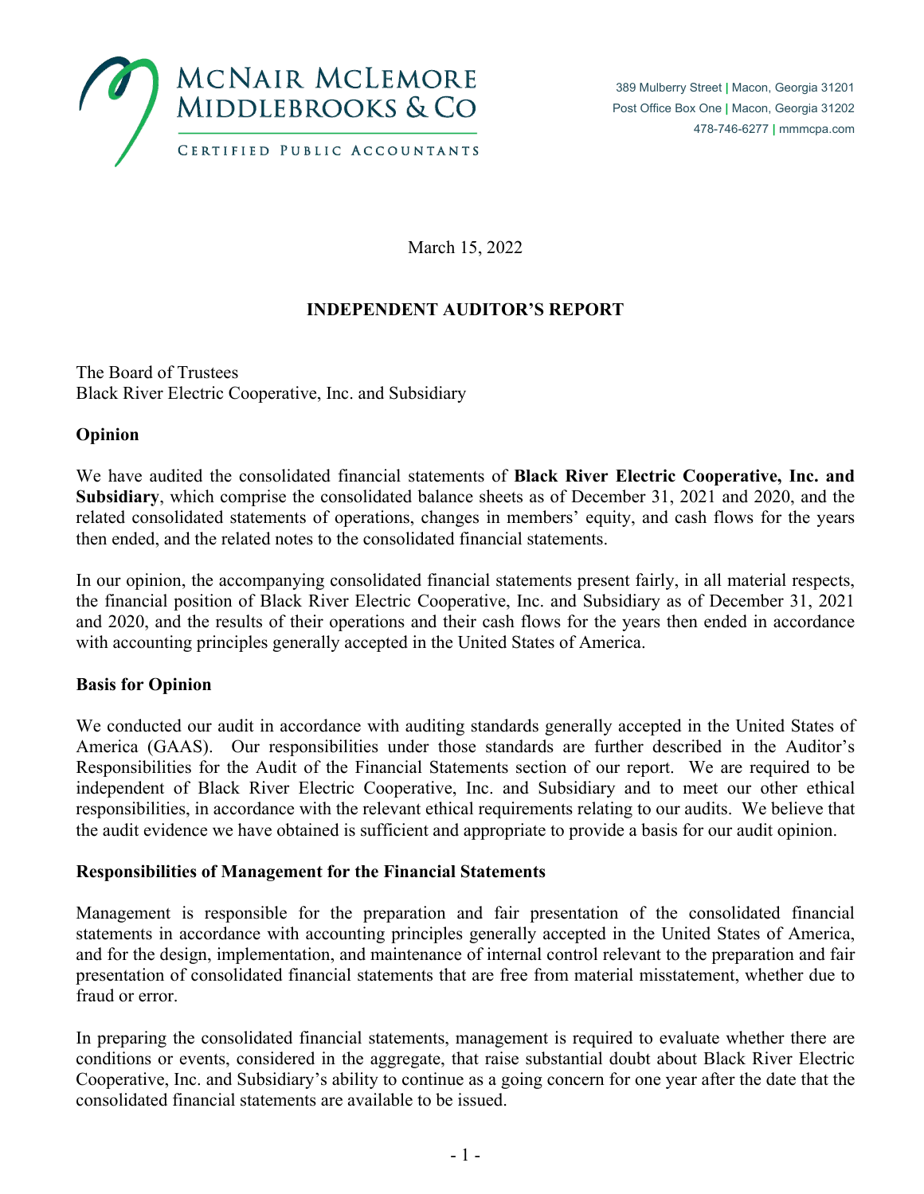

March 15, 2022

# **INDEPENDENT AUDITOR'S REPORT**

The Board of Trustees Black River Electric Cooperative, Inc. and Subsidiary

### **Opinion**

We have audited the consolidated financial statements of **Black River Electric Cooperative, Inc. and Subsidiary**, which comprise the consolidated balance sheets as of December 31, 2021 and 2020, and the related consolidated statements of operations, changes in members' equity, and cash flows for the years then ended, and the related notes to the consolidated financial statements.

In our opinion, the accompanying consolidated financial statements present fairly, in all material respects, the financial position of Black River Electric Cooperative, Inc. and Subsidiary as of December 31, 2021 and 2020, and the results of their operations and their cash flows for the years then ended in accordance with accounting principles generally accepted in the United States of America.

#### **Basis for Opinion**

We conducted our audit in accordance with auditing standards generally accepted in the United States of America (GAAS). Our responsibilities under those standards are further described in the Auditor's Responsibilities for the Audit of the Financial Statements section of our report. We are required to be independent of Black River Electric Cooperative, Inc. and Subsidiary and to meet our other ethical responsibilities, in accordance with the relevant ethical requirements relating to our audits. We believe that the audit evidence we have obtained is sufficient and appropriate to provide a basis for our audit opinion.

#### **Responsibilities of Management for the Financial Statements**

Management is responsible for the preparation and fair presentation of the consolidated financial statements in accordance with accounting principles generally accepted in the United States of America, and for the design, implementation, and maintenance of internal control relevant to the preparation and fair presentation of consolidated financial statements that are free from material misstatement, whether due to fraud or error.

In preparing the consolidated financial statements, management is required to evaluate whether there are conditions or events, considered in the aggregate, that raise substantial doubt about Black River Electric Cooperative, Inc. and Subsidiary's ability to continue as a going concern for one year after the date that the consolidated financial statements are available to be issued.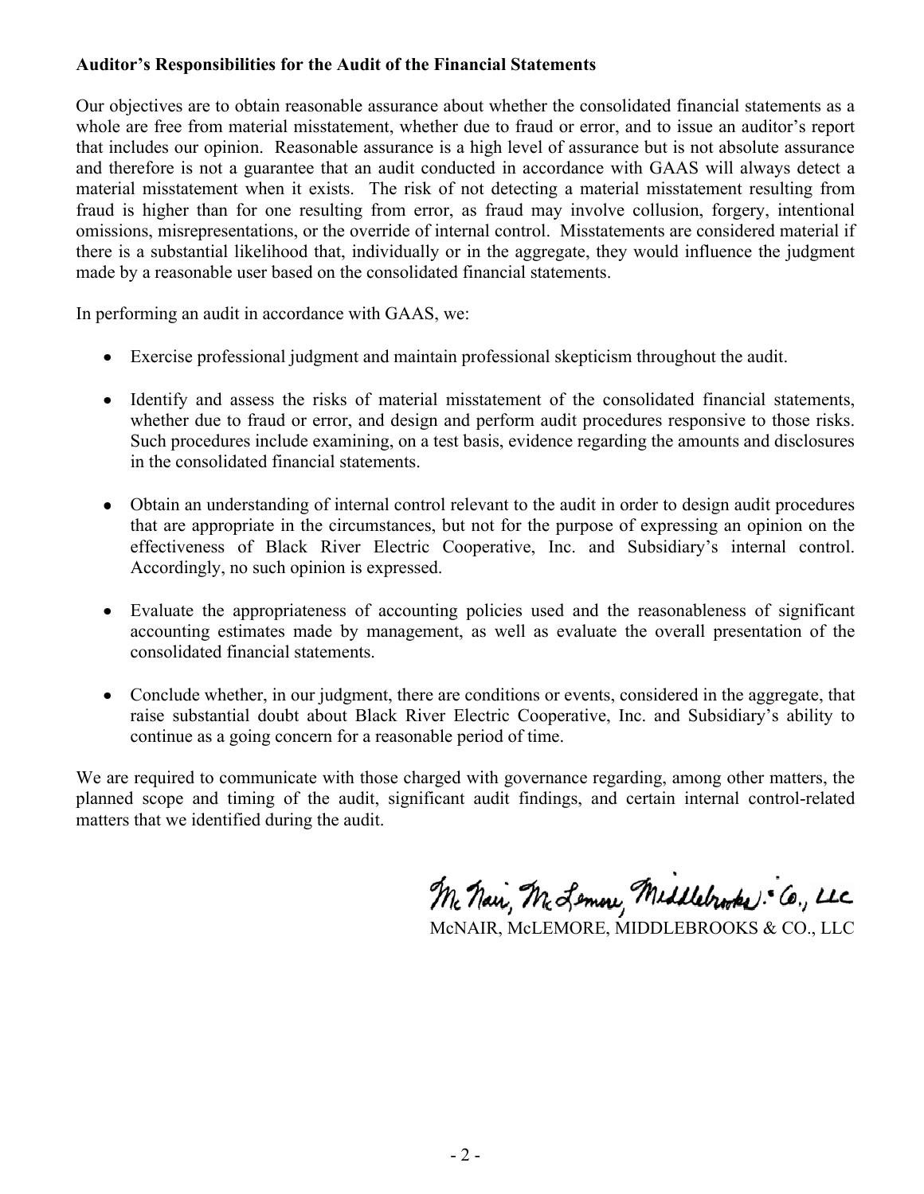### **Auditor's Responsibilities for the Audit of the Financial Statements**

Our objectives are to obtain reasonable assurance about whether the consolidated financial statements as a whole are free from material misstatement, whether due to fraud or error, and to issue an auditor's report that includes our opinion. Reasonable assurance is a high level of assurance but is not absolute assurance and therefore is not a guarantee that an audit conducted in accordance with GAAS will always detect a material misstatement when it exists. The risk of not detecting a material misstatement resulting from fraud is higher than for one resulting from error, as fraud may involve collusion, forgery, intentional omissions, misrepresentations, or the override of internal control. Misstatements are considered material if there is a substantial likelihood that, individually or in the aggregate, they would influence the judgment made by a reasonable user based on the consolidated financial statements.

In performing an audit in accordance with GAAS, we:

- Exercise professional judgment and maintain professional skepticism throughout the audit.
- Identify and assess the risks of material misstatement of the consolidated financial statements, whether due to fraud or error, and design and perform audit procedures responsive to those risks. Such procedures include examining, on a test basis, evidence regarding the amounts and disclosures in the consolidated financial statements.
- Obtain an understanding of internal control relevant to the audit in order to design audit procedures that are appropriate in the circumstances, but not for the purpose of expressing an opinion on the effectiveness of Black River Electric Cooperative, Inc. and Subsidiary's internal control. Accordingly, no such opinion is expressed.
- Evaluate the appropriateness of accounting policies used and the reasonableness of significant accounting estimates made by management, as well as evaluate the overall presentation of the consolidated financial statements.
- Conclude whether, in our judgment, there are conditions or events, considered in the aggregate, that raise substantial doubt about Black River Electric Cooperative, Inc. and Subsidiary's ability to continue as a going concern for a reasonable period of time.

We are required to communicate with those charged with governance regarding, among other matters, the planned scope and timing of the audit, significant audit findings, and certain internal control-related matters that we identified during the audit.

Mc Nai, M. Lemon, Middlebrooks: Co., LLC

McNAIR, McLEMORE, MIDDLEBROOKS & CO., LLC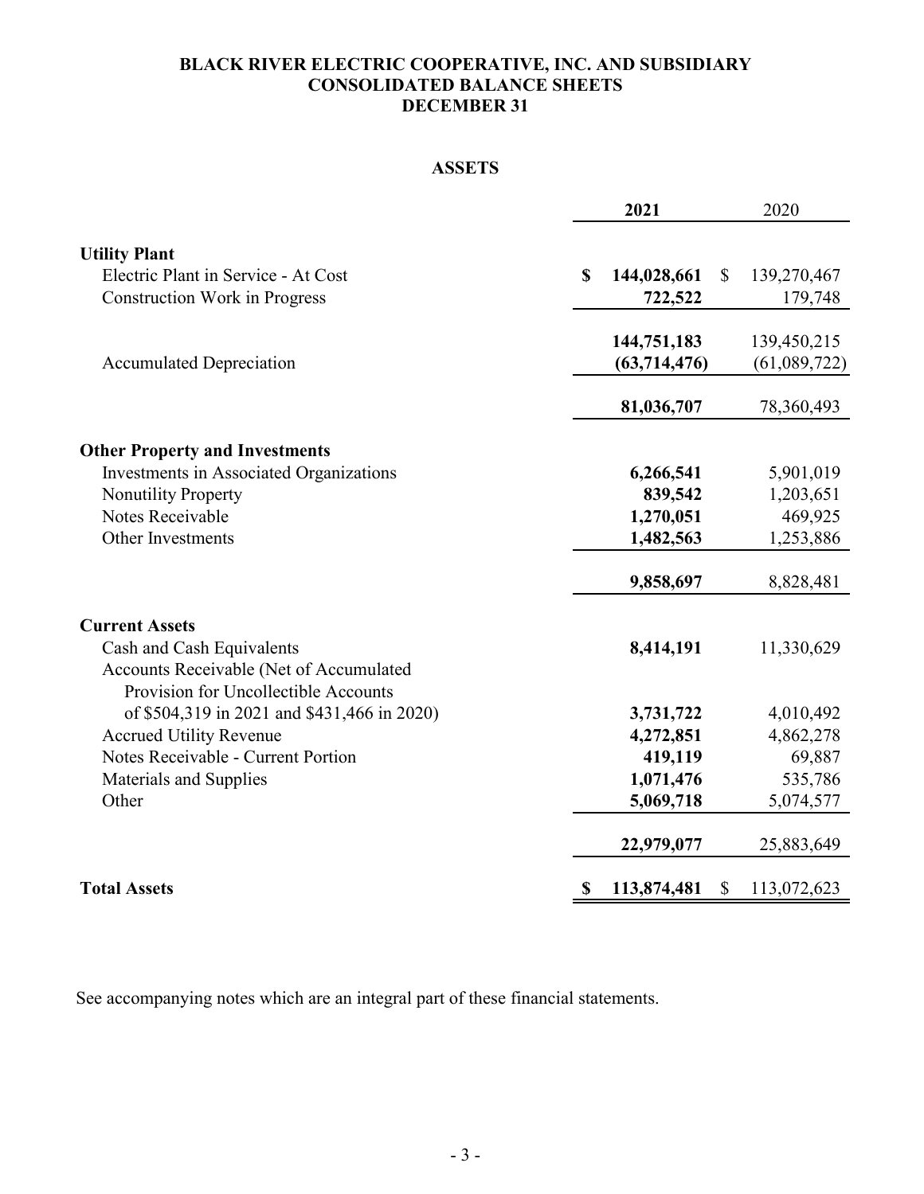## **BLACK RIVER ELECTRIC COOPERATIVE, INC. AND SUBSIDIARY CONSOLIDATED BALANCE SHEETS DECEMBER 31**

# **ASSETS**

|                                             | 2021              | 2020                        |
|---------------------------------------------|-------------------|-----------------------------|
| <b>Utility Plant</b>                        |                   |                             |
| Electric Plant in Service - At Cost         | 144,028,661<br>\$ | $\mathbb{S}$<br>139,270,467 |
| <b>Construction Work in Progress</b>        | 722,522           | 179,748                     |
|                                             |                   |                             |
|                                             | 144,751,183       | 139,450,215                 |
| <b>Accumulated Depreciation</b>             | (63,714,476)      | (61,089,722)                |
|                                             | 81,036,707        | 78,360,493                  |
| <b>Other Property and Investments</b>       |                   |                             |
| Investments in Associated Organizations     | 6,266,541         | 5,901,019                   |
| <b>Nonutility Property</b>                  | 839,542           | 1,203,651                   |
| Notes Receivable                            | 1,270,051         | 469,925                     |
| Other Investments                           | 1,482,563         | 1,253,886                   |
|                                             | 9,858,697         | 8,828,481                   |
| <b>Current Assets</b>                       |                   |                             |
| Cash and Cash Equivalents                   | 8,414,191         | 11,330,629                  |
| Accounts Receivable (Net of Accumulated     |                   |                             |
| Provision for Uncollectible Accounts        |                   |                             |
| of \$504,319 in 2021 and \$431,466 in 2020) | 3,731,722         | 4,010,492                   |
| <b>Accrued Utility Revenue</b>              | 4,272,851         | 4,862,278                   |
| Notes Receivable - Current Portion          | 419,119           | 69,887                      |
| Materials and Supplies                      | 1,071,476         | 535,786                     |
| Other                                       | 5,069,718         | 5,074,577                   |
|                                             | 22,979,077        | 25,883,649                  |
| <b>Total Assets</b>                         | 113,874,481<br>\$ | $\mathbb{S}$<br>113,072,623 |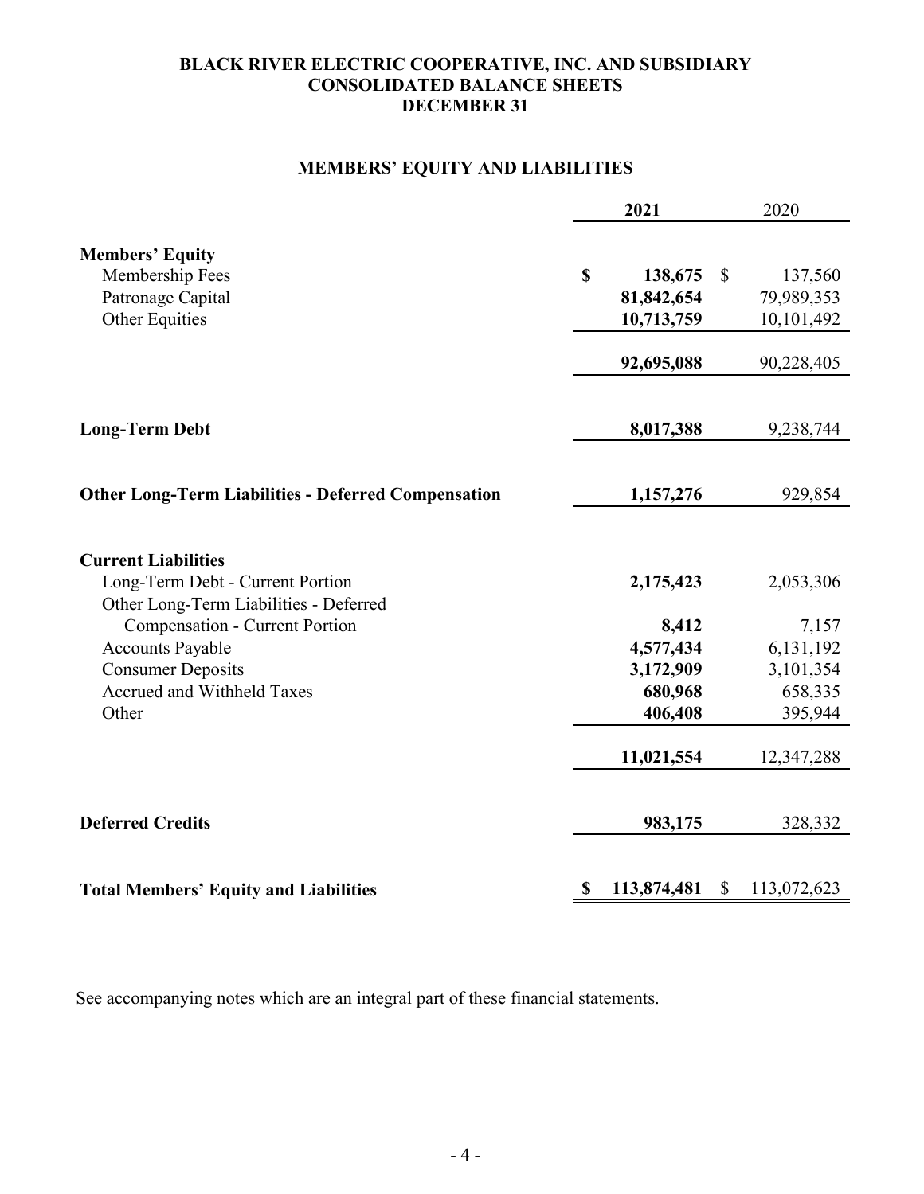### **BLACK RIVER ELECTRIC COOPERATIVE, INC. AND SUBSIDIARY CONSOLIDATED BALANCE SHEETS DECEMBER 31**

# **MEMBERS' EQUITY AND LIABILITIES**

|                                                                                                                                                                                                                                          | 2021                                                               | 2020                                                               |
|------------------------------------------------------------------------------------------------------------------------------------------------------------------------------------------------------------------------------------------|--------------------------------------------------------------------|--------------------------------------------------------------------|
| <b>Members' Equity</b><br>Membership Fees<br>Patronage Capital<br><b>Other Equities</b>                                                                                                                                                  | \$<br>138,675<br>81,842,654<br>10,713,759<br>92,695,088            | $\mathbb{S}$<br>137,560<br>79,989,353<br>10,101,492<br>90,228,405  |
| <b>Long-Term Debt</b>                                                                                                                                                                                                                    | 8,017,388                                                          | 9,238,744                                                          |
| <b>Other Long-Term Liabilities - Deferred Compensation</b>                                                                                                                                                                               | 1,157,276                                                          | 929,854                                                            |
| <b>Current Liabilities</b><br>Long-Term Debt - Current Portion<br>Other Long-Term Liabilities - Deferred<br><b>Compensation - Current Portion</b><br>Accounts Payable<br><b>Consumer Deposits</b><br>Accrued and Withheld Taxes<br>Other | 2,175,423<br>8,412<br>4,577,434<br>3,172,909<br>680,968<br>406,408 | 2,053,306<br>7,157<br>6,131,192<br>3,101,354<br>658,335<br>395,944 |
| <b>Deferred Credits</b>                                                                                                                                                                                                                  | 11,021,554                                                         | 12,347,288                                                         |
| <b>Total Members' Equity and Liabilities</b>                                                                                                                                                                                             | 983,175<br>113,874,481<br>\$                                       | 328,332<br>$\mathbb{S}$<br>113,072,623                             |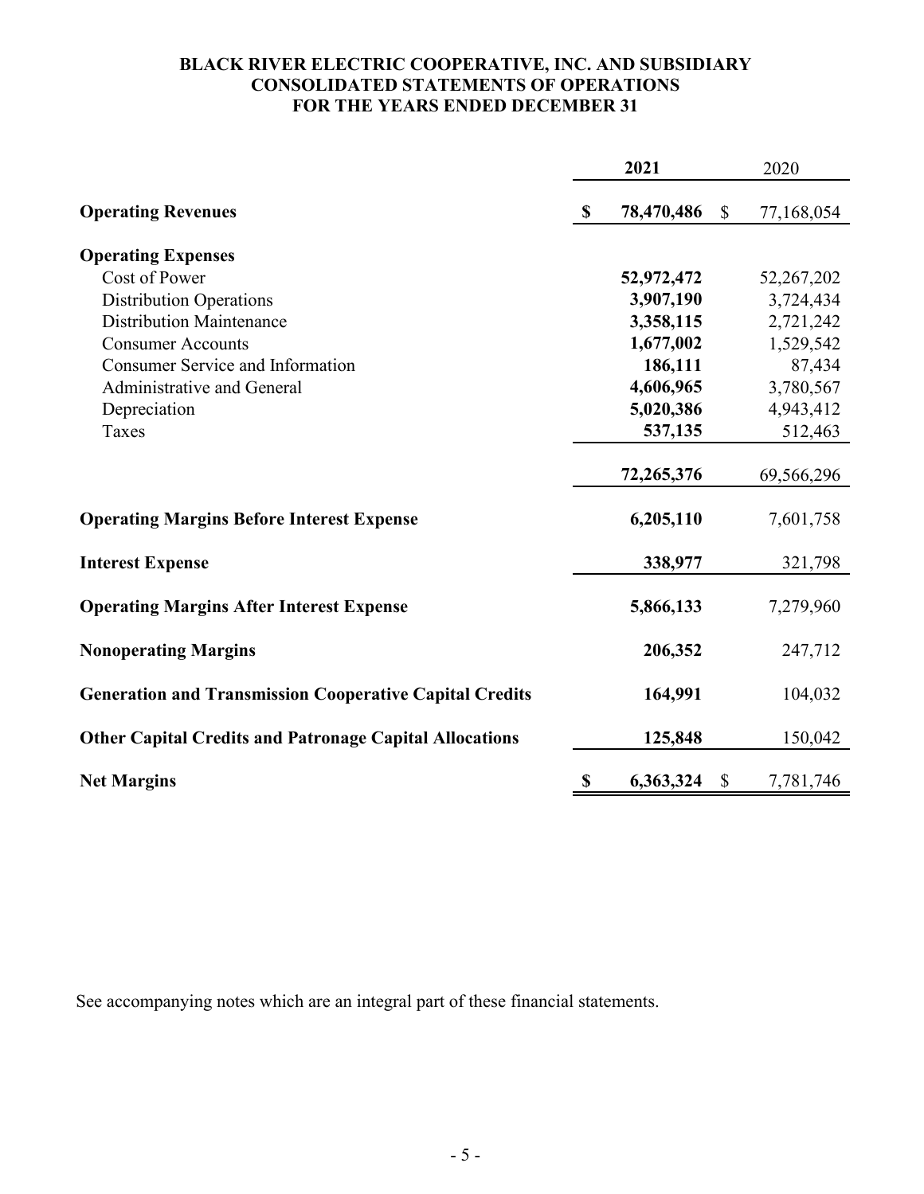#### **BLACK RIVER ELECTRIC COOPERATIVE, INC. AND SUBSIDIARY CONSOLIDATED STATEMENTS OF OPERATIONS FOR THE YEARS ENDED DECEMBER 31**

|                                                                |               | 2021       |              | 2020       |
|----------------------------------------------------------------|---------------|------------|--------------|------------|
| <b>Operating Revenues</b>                                      | $\mathbf{\$}$ | 78,470,486 | \$           | 77,168,054 |
| <b>Operating Expenses</b>                                      |               |            |              |            |
| Cost of Power                                                  |               | 52,972,472 |              | 52,267,202 |
| <b>Distribution Operations</b>                                 |               | 3,907,190  |              | 3,724,434  |
| <b>Distribution Maintenance</b>                                |               | 3,358,115  |              | 2,721,242  |
| <b>Consumer Accounts</b>                                       |               | 1,677,002  |              | 1,529,542  |
| <b>Consumer Service and Information</b>                        |               | 186,111    |              | 87,434     |
| Administrative and General                                     |               | 4,606,965  |              | 3,780,567  |
| Depreciation                                                   |               | 5,020,386  |              | 4,943,412  |
| Taxes                                                          |               | 537,135    |              | 512,463    |
|                                                                |               | 72,265,376 |              | 69,566,296 |
| <b>Operating Margins Before Interest Expense</b>               |               | 6,205,110  |              | 7,601,758  |
| <b>Interest Expense</b>                                        |               | 338,977    |              | 321,798    |
| <b>Operating Margins After Interest Expense</b>                |               | 5,866,133  |              | 7,279,960  |
| <b>Nonoperating Margins</b>                                    |               | 206,352    |              | 247,712    |
| <b>Generation and Transmission Cooperative Capital Credits</b> |               | 164,991    |              | 104,032    |
| <b>Other Capital Credits and Patronage Capital Allocations</b> |               | 125,848    |              | 150,042    |
| <b>Net Margins</b>                                             | \$            | 6,363,324  | $\mathbb{S}$ | 7,781,746  |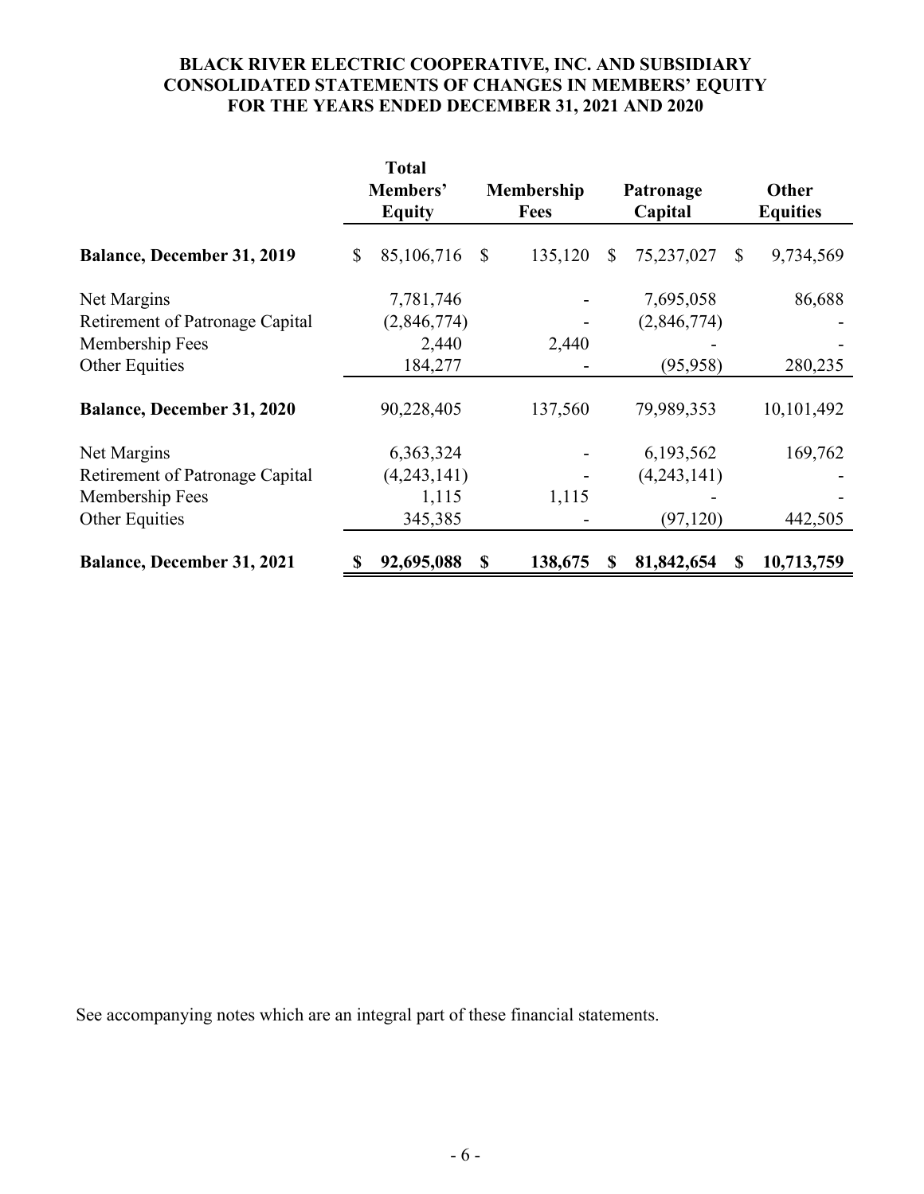# **BLACK RIVER ELECTRIC COOPERATIVE, INC. AND SUBSIDIARY CONSOLIDATED STATEMENTS OF CHANGES IN MEMBERS' EQUITY FOR THE YEARS ENDED DECEMBER 31, 2021 AND 2020**

|                                   | <b>Total</b><br>Members'<br><b>Equity</b> |    | Membership<br><b>Fees</b> |    | Patronage<br>Capital       | Other<br><b>Equities</b> |
|-----------------------------------|-------------------------------------------|----|---------------------------|----|----------------------------|--------------------------|
| <b>Balance, December 31, 2019</b> | \$<br>85,106,716                          | \$ | 135,120                   | \$ | 75,237,027<br>$\mathbb{S}$ | 9,734,569                |
| Net Margins                       | 7,781,746                                 |    |                           |    | 7,695,058                  | 86,688                   |
| Retirement of Patronage Capital   | (2,846,774)                               |    |                           |    | (2,846,774)                |                          |
| Membership Fees                   | 2,440                                     |    | 2,440                     |    |                            |                          |
| Other Equities                    | 184,277                                   |    |                           |    | (95, 958)                  | 280,235                  |
| <b>Balance, December 31, 2020</b> | 90,228,405                                |    | 137,560                   |    | 79,989,353                 | 10,101,492               |
| Net Margins                       | 6,363,324                                 |    |                           |    | 6,193,562                  | 169,762                  |
| Retirement of Patronage Capital   | (4,243,141)                               |    |                           |    | (4,243,141)                |                          |
| Membership Fees                   | 1,115                                     |    | 1,115                     |    |                            |                          |
| Other Equities                    | 345,385                                   |    |                           |    | (97, 120)                  | 442,505                  |
| <b>Balance, December 31, 2021</b> | \$<br>92,695,088                          | S  | 138,675                   | S  | 81,842,654<br>S            | 10,713,759               |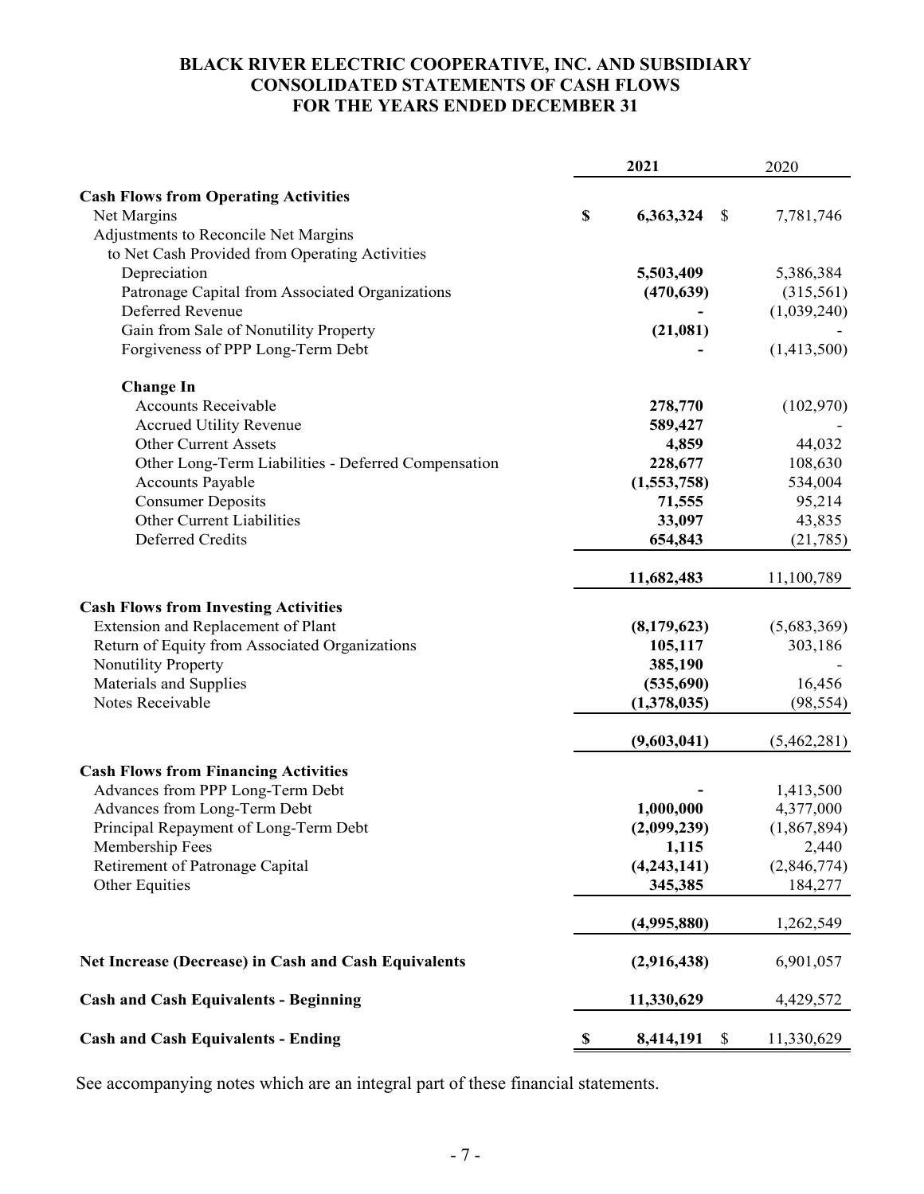### **BLACK RIVER ELECTRIC COOPERATIVE, INC. AND SUBSIDIARY CONSOLIDATED STATEMENTS OF CASH FLOWS FOR THE YEARS ENDED DECEMBER 31**

|                                                      |    | 2021                      |             |
|------------------------------------------------------|----|---------------------------|-------------|
| <b>Cash Flows from Operating Activities</b>          |    |                           |             |
| Net Margins                                          | \$ | 6,363,324<br>$\mathbb{S}$ | 7,781,746   |
| Adjustments to Reconcile Net Margins                 |    |                           |             |
| to Net Cash Provided from Operating Activities       |    |                           |             |
| Depreciation                                         |    | 5,503,409                 | 5,386,384   |
| Patronage Capital from Associated Organizations      |    | (470, 639)                | (315,561)   |
| Deferred Revenue                                     |    |                           | (1,039,240) |
| Gain from Sale of Nonutility Property                |    | (21,081)                  |             |
| Forgiveness of PPP Long-Term Debt                    |    |                           | (1,413,500) |
| <b>Change In</b>                                     |    |                           |             |
| <b>Accounts Receivable</b>                           |    | 278,770                   | (102,970)   |
| <b>Accrued Utility Revenue</b>                       |    | 589,427                   |             |
| <b>Other Current Assets</b>                          |    | 4,859                     | 44,032      |
| Other Long-Term Liabilities - Deferred Compensation  |    | 228,677                   | 108,630     |
| <b>Accounts Payable</b>                              |    | (1,553,758)               | 534,004     |
| <b>Consumer Deposits</b>                             |    | 71,555                    | 95,214      |
| Other Current Liabilities                            |    | 33,097                    | 43,835      |
| Deferred Credits                                     |    | 654,843                   | (21, 785)   |
|                                                      |    | 11,682,483                | 11,100,789  |
| <b>Cash Flows from Investing Activities</b>          |    |                           |             |
| Extension and Replacement of Plant                   |    | (8,179,623)               | (5,683,369) |
| Return of Equity from Associated Organizations       |    | 105,117                   | 303,186     |
| Nonutility Property                                  |    | 385,190                   |             |
| Materials and Supplies                               |    | (535,690)                 | 16,456      |
| Notes Receivable                                     |    | (1,378,035)               | (98, 554)   |
|                                                      |    | (9,603,041)               | (5,462,281) |
| <b>Cash Flows from Financing Activities</b>          |    |                           |             |
| Advances from PPP Long-Term Debt                     |    |                           | 1,413,500   |
| Advances from Long-Term Debt                         |    | 1,000,000                 | 4,377,000   |
| Principal Repayment of Long-Term Debt                |    | (2,099,239)               | (1,867,894) |
| Membership Fees                                      |    | 1,115                     | 2,440       |
| Retirement of Patronage Capital                      |    | (4,243,141)               | (2,846,774) |
| Other Equities                                       |    | 345,385                   | 184,277     |
|                                                      |    | (4,995,880)               | 1,262,549   |
| Net Increase (Decrease) in Cash and Cash Equivalents |    | (2,916,438)               | 6,901,057   |
| <b>Cash and Cash Equivalents - Beginning</b>         |    | 11,330,629                | 4,429,572   |
| <b>Cash and Cash Equivalents - Ending</b>            | \$ | 8,414,191<br>\$           | 11,330,629  |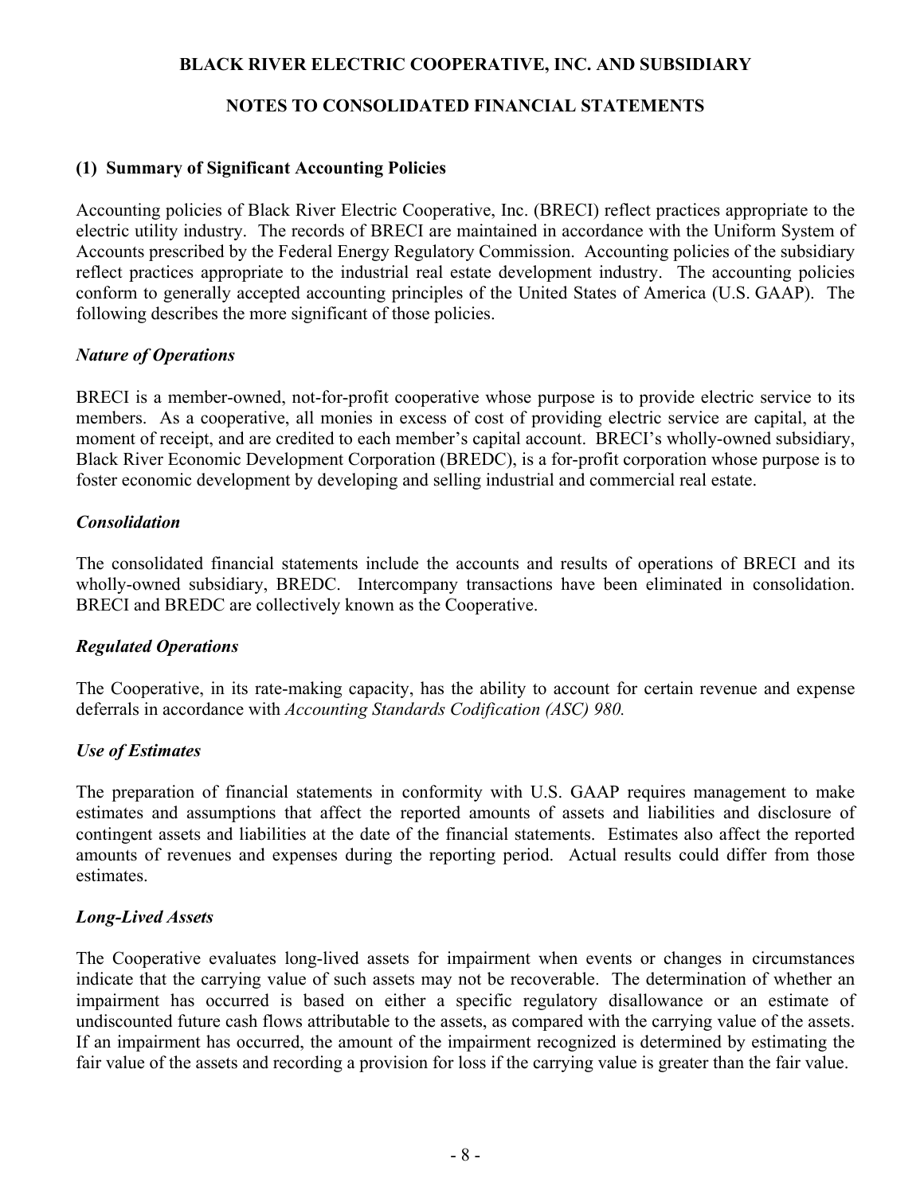### **BLACK RIVER ELECTRIC COOPERATIVE, INC. AND SUBSIDIARY**

### **NOTES TO CONSOLIDATED FINANCIAL STATEMENTS**

### **(1) Summary of Significant Accounting Policies**

Accounting policies of Black River Electric Cooperative, Inc. (BRECI) reflect practices appropriate to the electric utility industry. The records of BRECI are maintained in accordance with the Uniform System of Accounts prescribed by the Federal Energy Regulatory Commission. Accounting policies of the subsidiary reflect practices appropriate to the industrial real estate development industry. The accounting policies conform to generally accepted accounting principles of the United States of America (U.S. GAAP). The following describes the more significant of those policies.

### *Nature of Operations*

BRECI is a member-owned, not-for-profit cooperative whose purpose is to provide electric service to its members. As a cooperative, all monies in excess of cost of providing electric service are capital, at the moment of receipt, and are credited to each member's capital account. BRECI's wholly-owned subsidiary, Black River Economic Development Corporation (BREDC), is a for-profit corporation whose purpose is to foster economic development by developing and selling industrial and commercial real estate.

### *Consolidation*

The consolidated financial statements include the accounts and results of operations of BRECI and its wholly-owned subsidiary, BREDC. Intercompany transactions have been eliminated in consolidation. BRECI and BREDC are collectively known as the Cooperative.

#### *Regulated Operations*

The Cooperative, in its rate-making capacity, has the ability to account for certain revenue and expense deferrals in accordance with *Accounting Standards Codification (ASC) 980.* 

### *Use of Estimates*

The preparation of financial statements in conformity with U.S. GAAP requires management to make estimates and assumptions that affect the reported amounts of assets and liabilities and disclosure of contingent assets and liabilities at the date of the financial statements. Estimates also affect the reported amounts of revenues and expenses during the reporting period. Actual results could differ from those estimates.

### *Long-Lived Assets*

The Cooperative evaluates long-lived assets for impairment when events or changes in circumstances indicate that the carrying value of such assets may not be recoverable. The determination of whether an impairment has occurred is based on either a specific regulatory disallowance or an estimate of undiscounted future cash flows attributable to the assets, as compared with the carrying value of the assets. If an impairment has occurred, the amount of the impairment recognized is determined by estimating the fair value of the assets and recording a provision for loss if the carrying value is greater than the fair value.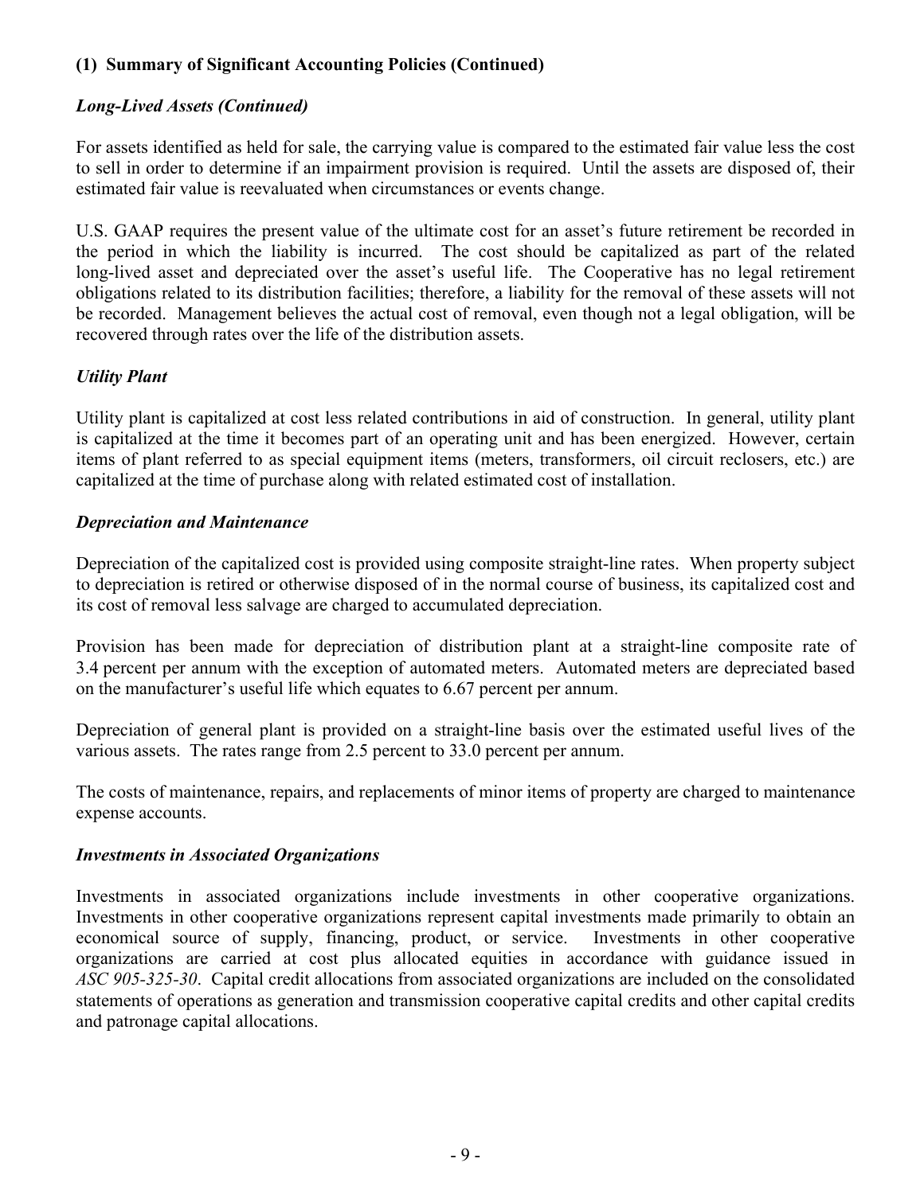# *Long-Lived Assets (Continued)*

For assets identified as held for sale, the carrying value is compared to the estimated fair value less the cost to sell in order to determine if an impairment provision is required. Until the assets are disposed of, their estimated fair value is reevaluated when circumstances or events change.

U.S. GAAP requires the present value of the ultimate cost for an asset's future retirement be recorded in the period in which the liability is incurred. The cost should be capitalized as part of the related long-lived asset and depreciated over the asset's useful life. The Cooperative has no legal retirement obligations related to its distribution facilities; therefore, a liability for the removal of these assets will not be recorded. Management believes the actual cost of removal, even though not a legal obligation, will be recovered through rates over the life of the distribution assets.

# *Utility Plant*

Utility plant is capitalized at cost less related contributions in aid of construction. In general, utility plant is capitalized at the time it becomes part of an operating unit and has been energized. However, certain items of plant referred to as special equipment items (meters, transformers, oil circuit reclosers, etc.) are capitalized at the time of purchase along with related estimated cost of installation.

### *Depreciation and Maintenance*

Depreciation of the capitalized cost is provided using composite straight-line rates. When property subject to depreciation is retired or otherwise disposed of in the normal course of business, its capitalized cost and its cost of removal less salvage are charged to accumulated depreciation.

Provision has been made for depreciation of distribution plant at a straight-line composite rate of 3.4 percent per annum with the exception of automated meters. Automated meters are depreciated based on the manufacturer's useful life which equates to 6.67 percent per annum.

Depreciation of general plant is provided on a straight-line basis over the estimated useful lives of the various assets. The rates range from 2.5 percent to 33.0 percent per annum.

The costs of maintenance, repairs, and replacements of minor items of property are charged to maintenance expense accounts.

### *Investments in Associated Organizations*

Investments in associated organizations include investments in other cooperative organizations. Investments in other cooperative organizations represent capital investments made primarily to obtain an economical source of supply, financing, product, or service. Investments in other cooperative organizations are carried at cost plus allocated equities in accordance with guidance issued in *ASC 905-325-30*. Capital credit allocations from associated organizations are included on the consolidated statements of operations as generation and transmission cooperative capital credits and other capital credits and patronage capital allocations.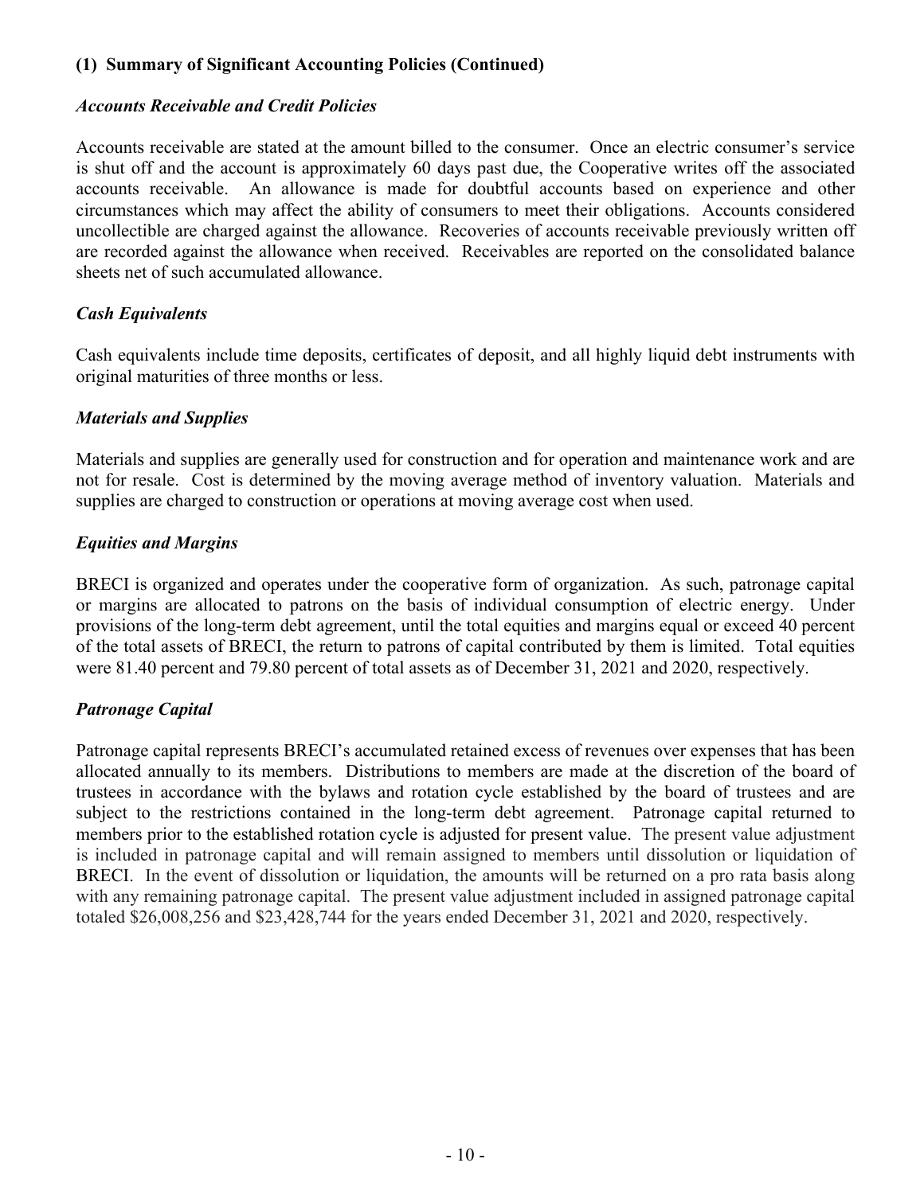### *Accounts Receivable and Credit Policies*

Accounts receivable are stated at the amount billed to the consumer. Once an electric consumer's service is shut off and the account is approximately 60 days past due, the Cooperative writes off the associated accounts receivable. An allowance is made for doubtful accounts based on experience and other circumstances which may affect the ability of consumers to meet their obligations. Accounts considered uncollectible are charged against the allowance. Recoveries of accounts receivable previously written off are recorded against the allowance when received. Receivables are reported on the consolidated balance sheets net of such accumulated allowance.

# *Cash Equivalents*

Cash equivalents include time deposits, certificates of deposit, and all highly liquid debt instruments with original maturities of three months or less.

### *Materials and Supplies*

Materials and supplies are generally used for construction and for operation and maintenance work and are not for resale. Cost is determined by the moving average method of inventory valuation. Materials and supplies are charged to construction or operations at moving average cost when used.

# *Equities and Margins*

BRECI is organized and operates under the cooperative form of organization. As such, patronage capital or margins are allocated to patrons on the basis of individual consumption of electric energy. Under provisions of the long-term debt agreement, until the total equities and margins equal or exceed 40 percent of the total assets of BRECI, the return to patrons of capital contributed by them is limited. Total equities were 81.40 percent and 79.80 percent of total assets as of December 31, 2021 and 2020, respectively.

### *Patronage Capital*

Patronage capital represents BRECI's accumulated retained excess of revenues over expenses that has been allocated annually to its members. Distributions to members are made at the discretion of the board of trustees in accordance with the bylaws and rotation cycle established by the board of trustees and are subject to the restrictions contained in the long-term debt agreement. Patronage capital returned to members prior to the established rotation cycle is adjusted for present value. The present value adjustment is included in patronage capital and will remain assigned to members until dissolution or liquidation of BRECI. In the event of dissolution or liquidation, the amounts will be returned on a pro rata basis along with any remaining patronage capital. The present value adjustment included in assigned patronage capital totaled \$26,008,256 and \$23,428,744 for the years ended December 31, 2021 and 2020, respectively.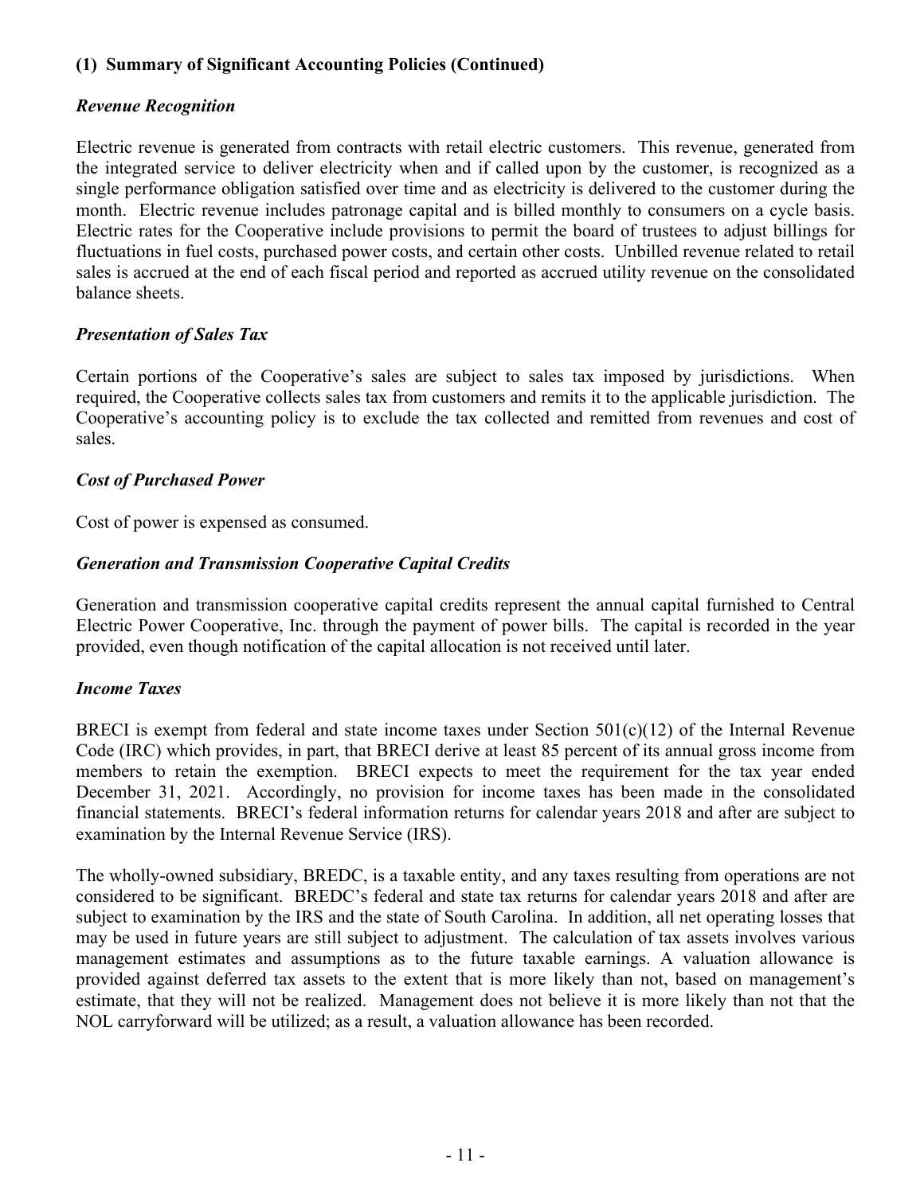## *Revenue Recognition*

Electric revenue is generated from contracts with retail electric customers. This revenue, generated from the integrated service to deliver electricity when and if called upon by the customer, is recognized as a single performance obligation satisfied over time and as electricity is delivered to the customer during the month. Electric revenue includes patronage capital and is billed monthly to consumers on a cycle basis. Electric rates for the Cooperative include provisions to permit the board of trustees to adjust billings for fluctuations in fuel costs, purchased power costs, and certain other costs. Unbilled revenue related to retail sales is accrued at the end of each fiscal period and reported as accrued utility revenue on the consolidated balance sheets.

# *Presentation of Sales Tax*

Certain portions of the Cooperative's sales are subject to sales tax imposed by jurisdictions. When required, the Cooperative collects sales tax from customers and remits it to the applicable jurisdiction. The Cooperative's accounting policy is to exclude the tax collected and remitted from revenues and cost of sales.

# *Cost of Purchased Power*

Cost of power is expensed as consumed.

# *Generation and Transmission Cooperative Capital Credits*

Generation and transmission cooperative capital credits represent the annual capital furnished to Central Electric Power Cooperative, Inc. through the payment of power bills. The capital is recorded in the year provided, even though notification of the capital allocation is not received until later.

# *Income Taxes*

BRECI is exempt from federal and state income taxes under Section  $501(c)(12)$  of the Internal Revenue Code (IRC) which provides, in part, that BRECI derive at least 85 percent of its annual gross income from members to retain the exemption. BRECI expects to meet the requirement for the tax year ended December 31, 2021. Accordingly, no provision for income taxes has been made in the consolidated financial statements. BRECI's federal information returns for calendar years 2018 and after are subject to examination by the Internal Revenue Service (IRS).

The wholly-owned subsidiary, BREDC, is a taxable entity, and any taxes resulting from operations are not considered to be significant. BREDC's federal and state tax returns for calendar years 2018 and after are subject to examination by the IRS and the state of South Carolina. In addition, all net operating losses that may be used in future years are still subject to adjustment. The calculation of tax assets involves various management estimates and assumptions as to the future taxable earnings. A valuation allowance is provided against deferred tax assets to the extent that is more likely than not, based on management's estimate, that they will not be realized. Management does not believe it is more likely than not that the NOL carryforward will be utilized; as a result, a valuation allowance has been recorded.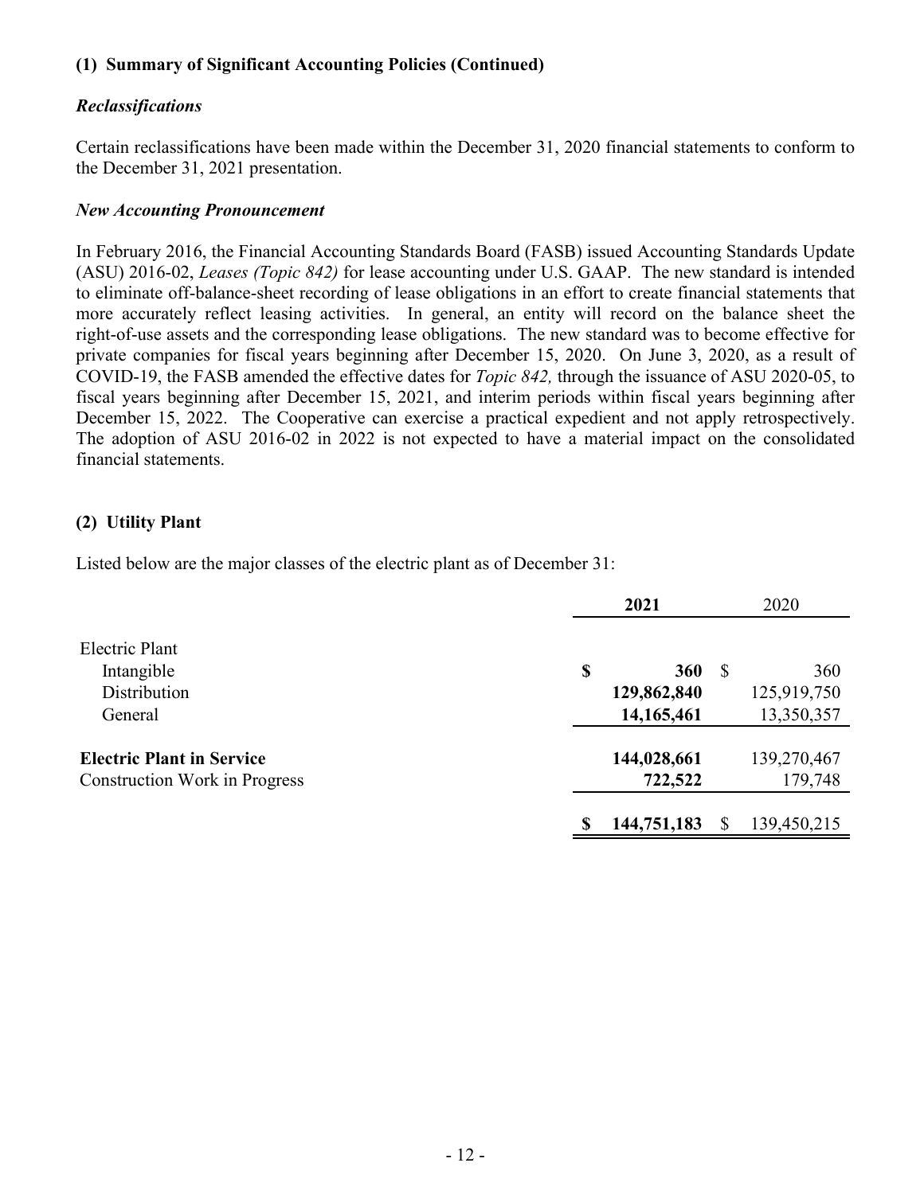### *Reclassifications*

Certain reclassifications have been made within the December 31, 2020 financial statements to conform to the December 31, 2021 presentation.

### *New Accounting Pronouncement*

In February 2016, the Financial Accounting Standards Board (FASB) issued Accounting Standards Update (ASU) 2016-02, *Leases (Topic 842)* for lease accounting under U.S. GAAP. The new standard is intended to eliminate off-balance-sheet recording of lease obligations in an effort to create financial statements that more accurately reflect leasing activities. In general, an entity will record on the balance sheet the right-of-use assets and the corresponding lease obligations. The new standard was to become effective for private companies for fiscal years beginning after December 15, 2020. On June 3, 2020, as a result of COVID-19, the FASB amended the effective dates for *Topic 842,* through the issuance of ASU 2020-05, to fiscal years beginning after December 15, 2021, and interim periods within fiscal years beginning after December 15, 2022. The Cooperative can exercise a practical expedient and not apply retrospectively. The adoption of ASU 2016-02 in 2022 is not expected to have a material impact on the consolidated financial statements.

# **(2) Utility Plant**

Listed below are the major classes of the electric plant as of December 31:

|                                                                          | 2021 |                                    | 2020 |                                  |
|--------------------------------------------------------------------------|------|------------------------------------|------|----------------------------------|
| Electric Plant<br>Intangible<br>Distribution<br>General                  | \$   | 360<br>129,862,840<br>14, 165, 461 | -S   | 360<br>125,919,750<br>13,350,357 |
| <b>Electric Plant in Service</b><br><b>Construction Work in Progress</b> |      | 144,028,661<br>722,522             |      | 139,270,467<br>179,748           |
|                                                                          |      | 144,751,183                        |      | 139,450,215                      |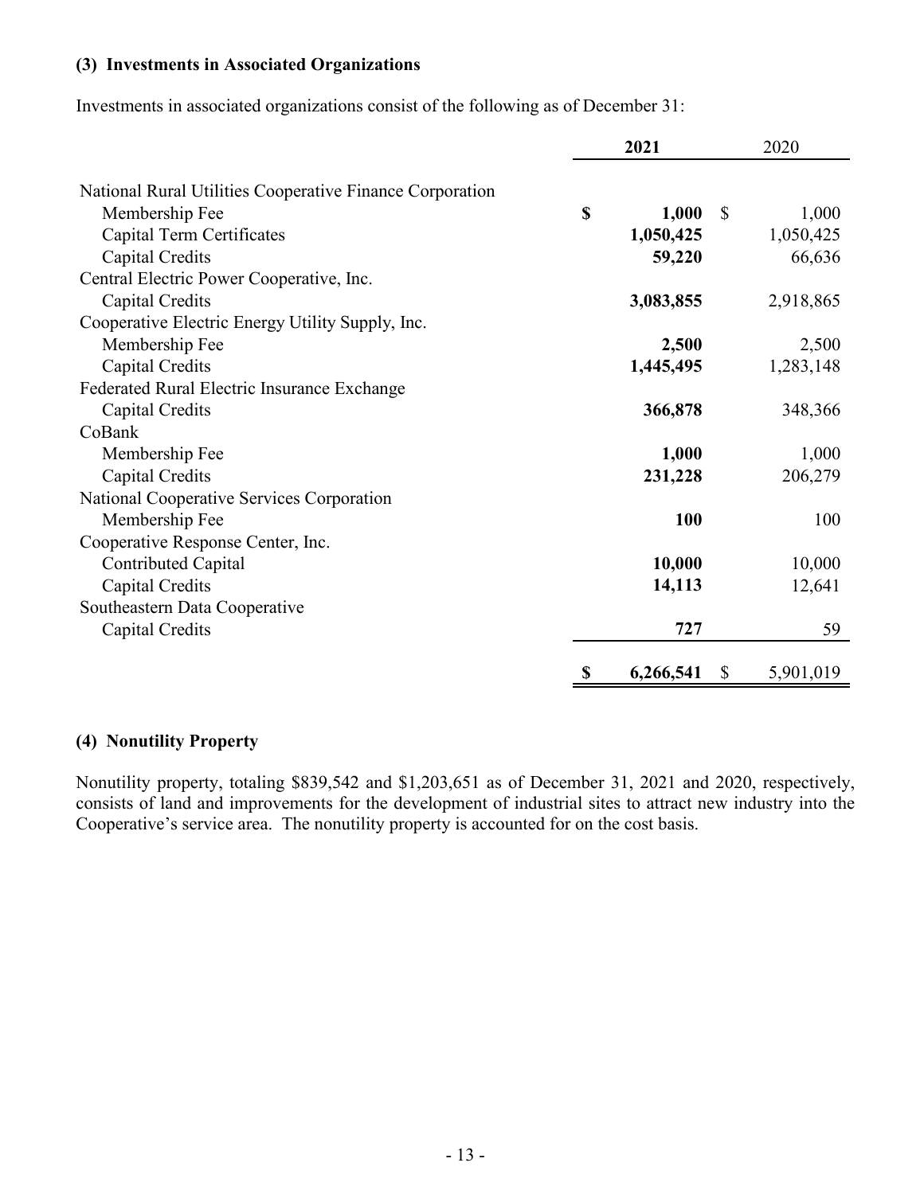### **(3) Investments in Associated Organizations**

Investments in associated organizations consist of the following as of December 31:

|                                                          | 2021 |                       | 2020      |  |
|----------------------------------------------------------|------|-----------------------|-----------|--|
|                                                          |      |                       |           |  |
| National Rural Utilities Cooperative Finance Corporation |      |                       |           |  |
| Membership Fee                                           | \$   | 1,000<br>$\mathbb{S}$ | 1,000     |  |
| Capital Term Certificates                                |      | 1,050,425             | 1,050,425 |  |
| Capital Credits                                          |      | 59,220                | 66,636    |  |
| Central Electric Power Cooperative, Inc.                 |      |                       |           |  |
| Capital Credits                                          |      | 3,083,855             | 2,918,865 |  |
| Cooperative Electric Energy Utility Supply, Inc.         |      |                       |           |  |
| Membership Fee                                           |      | 2,500                 | 2,500     |  |
| Capital Credits                                          |      | 1,445,495             | 1,283,148 |  |
| Federated Rural Electric Insurance Exchange              |      |                       |           |  |
| Capital Credits                                          |      | 366,878               | 348,366   |  |
| CoBank                                                   |      |                       |           |  |
| Membership Fee                                           |      | 1,000                 | 1,000     |  |
| Capital Credits                                          |      | 231,228               | 206,279   |  |
| National Cooperative Services Corporation                |      |                       |           |  |
| Membership Fee                                           |      | 100                   | 100       |  |
| Cooperative Response Center, Inc.                        |      |                       |           |  |
| Contributed Capital                                      |      | 10,000                | 10,000    |  |
| Capital Credits                                          |      | 14,113                | 12,641    |  |
| Southeastern Data Cooperative                            |      |                       |           |  |
| Capital Credits                                          |      | 727                   | 59        |  |
|                                                          | \$   | 6,266,541<br>\$       | 5,901,019 |  |

# **(4) Nonutility Property**

Nonutility property, totaling \$839,542 and \$1,203,651 as of December 31, 2021 and 2020, respectively, consists of land and improvements for the development of industrial sites to attract new industry into the Cooperative's service area. The nonutility property is accounted for on the cost basis.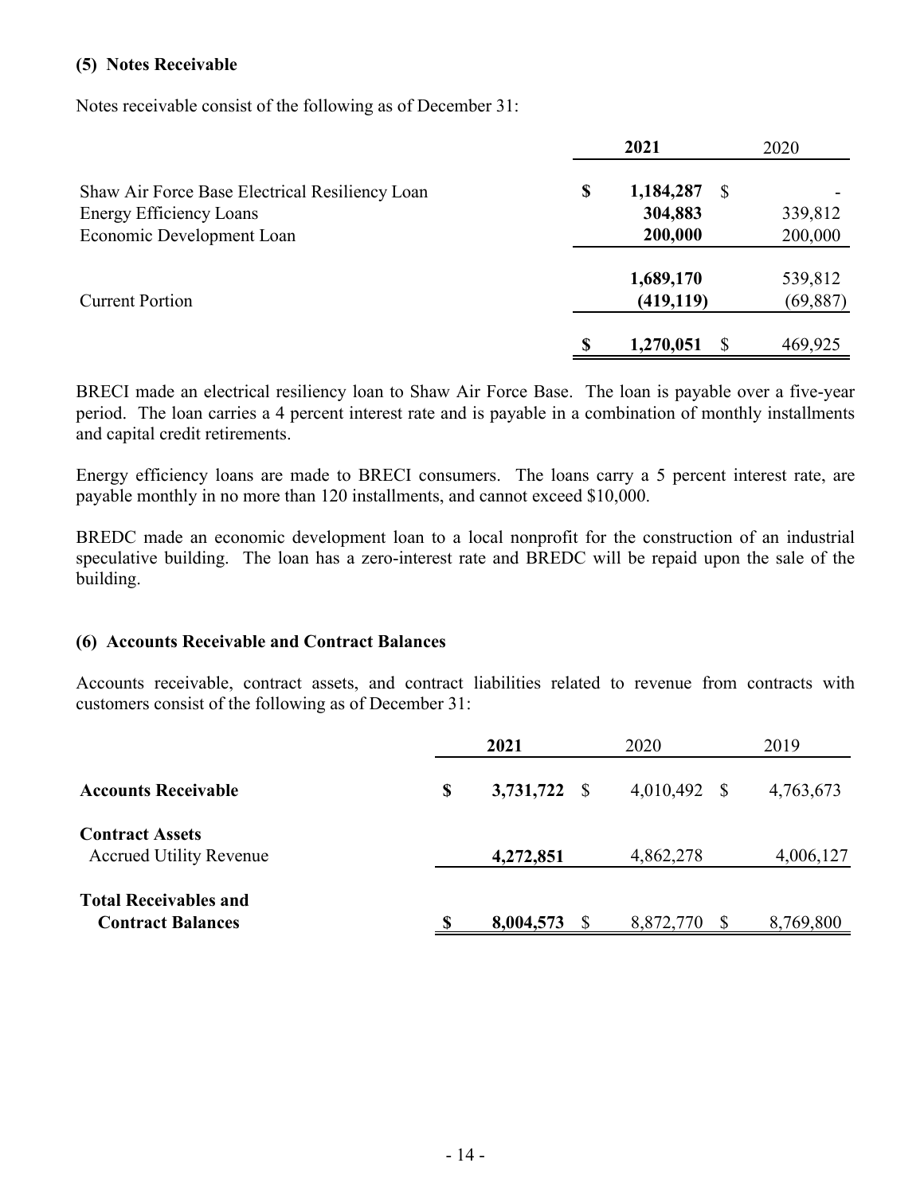#### **(5) Notes Receivable**

Notes receivable consist of the following as of December 31:

|                                                |   | 2021                    | 2020                 |
|------------------------------------------------|---|-------------------------|----------------------|
| Shaw Air Force Base Electrical Resiliency Loan | S | 1,184,287<br><b>S</b>   |                      |
| <b>Energy Efficiency Loans</b>                 |   | 304,883                 | 339,812              |
| Economic Development Loan                      |   | 200,000                 | 200,000              |
| <b>Current Portion</b>                         |   | 1,689,170<br>(419, 119) | 539,812<br>(69, 887) |
|                                                |   | 1,270,051               | 469,925              |

BRECI made an electrical resiliency loan to Shaw Air Force Base. The loan is payable over a five-year period. The loan carries a 4 percent interest rate and is payable in a combination of monthly installments and capital credit retirements.

Energy efficiency loans are made to BRECI consumers. The loans carry a 5 percent interest rate, are payable monthly in no more than 120 installments, and cannot exceed \$10,000.

BREDC made an economic development loan to a local nonprofit for the construction of an industrial speculative building. The loan has a zero-interest rate and BREDC will be repaid upon the sale of the building.

### **(6) Accounts Receivable and Contract Balances**

Accounts receivable, contract assets, and contract liabilities related to revenue from contracts with customers consist of the following as of December 31:

|                                                          | 2021               | 2020            | 2019      |
|----------------------------------------------------------|--------------------|-----------------|-----------|
| <b>Accounts Receivable</b>                               | \$<br>3,731,722 \$ | 4,010,492<br>-S | 4,763,673 |
| <b>Contract Assets</b><br><b>Accrued Utility Revenue</b> | 4,272,851          | 4,862,278       | 4,006,127 |
| <b>Total Receivables and</b><br><b>Contract Balances</b> | 8,004,573          | 8,872,770       | 8,769,800 |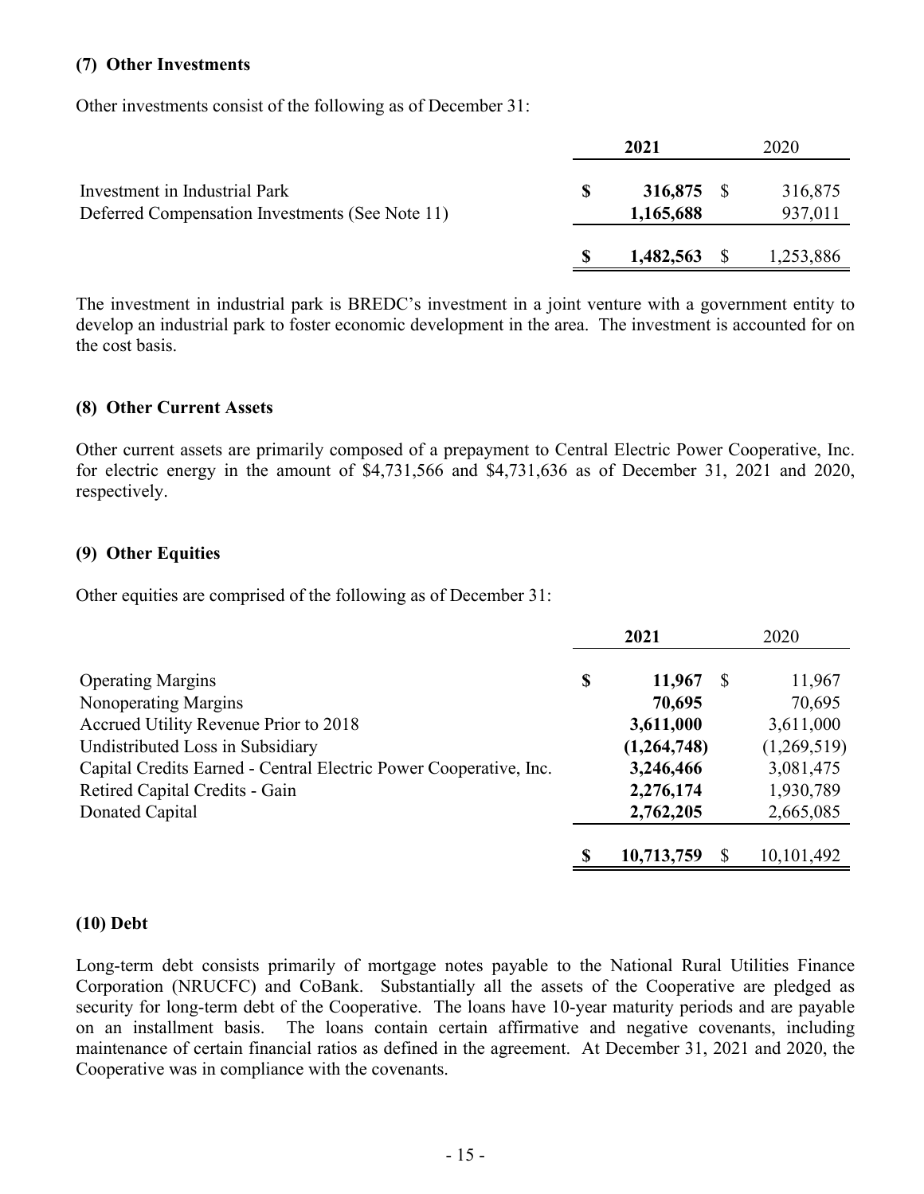#### **(7) Other Investments**

Other investments consist of the following as of December 31:

|                                                                                  | 2021                    | 2020               |
|----------------------------------------------------------------------------------|-------------------------|--------------------|
| Investment in Industrial Park<br>Deferred Compensation Investments (See Note 11) | 316,875 \$<br>1,165,688 | 316,875<br>937,011 |
|                                                                                  | $1,482,563$ \$          | 1,253,886          |

The investment in industrial park is BREDC's investment in a joint venture with a government entity to develop an industrial park to foster economic development in the area. The investment is accounted for on the cost basis.

### **(8) Other Current Assets**

Other current assets are primarily composed of a prepayment to Central Electric Power Cooperative, Inc. for electric energy in the amount of \$4,731,566 and \$4,731,636 as of December 31, 2021 and 2020, respectively.

### **(9) Other Equities**

Other equities are comprised of the following as of December 31:

|                                                                   | 2021 |             | 2020 |             |
|-------------------------------------------------------------------|------|-------------|------|-------------|
| <b>Operating Margins</b>                                          | \$   | 11,967      | -8   | 11,967      |
| Nonoperating Margins                                              |      | 70,695      |      | 70,695      |
| Accrued Utility Revenue Prior to 2018                             |      | 3,611,000   |      | 3,611,000   |
| Undistributed Loss in Subsidiary                                  |      | (1,264,748) |      | (1,269,519) |
| Capital Credits Earned - Central Electric Power Cooperative, Inc. |      | 3,246,466   |      | 3,081,475   |
| Retired Capital Credits - Gain                                    |      | 2,276,174   |      | 1,930,789   |
| Donated Capital                                                   |      | 2,762,205   |      | 2,665,085   |
|                                                                   |      |             |      |             |
|                                                                   |      | 10,713,759  |      | 10,101,492  |

### **(10) Debt**

Long-term debt consists primarily of mortgage notes payable to the National Rural Utilities Finance Corporation (NRUCFC) and CoBank. Substantially all the assets of the Cooperative are pledged as security for long-term debt of the Cooperative. The loans have 10-year maturity periods and are payable on an installment basis. The loans contain certain affirmative and negative covenants, including maintenance of certain financial ratios as defined in the agreement. At December 31, 2021 and 2020, the Cooperative was in compliance with the covenants.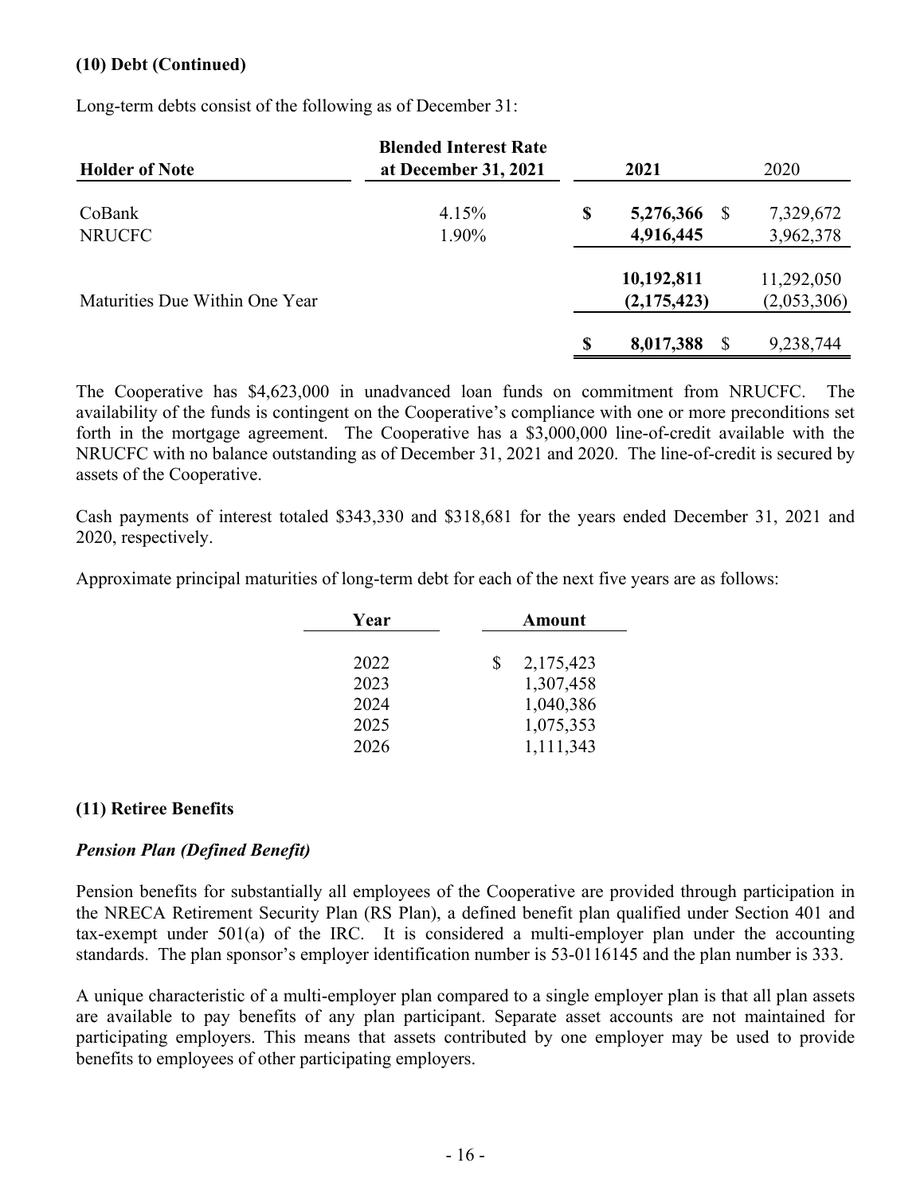### **(10) Debt (Continued)**

Long-term debts consist of the following as of December 31:

| <b>Holder of Note</b>          | <b>Blended Interest Rate</b><br>at December 31, 2021 | 2021                  | 2020        |  |  |
|--------------------------------|------------------------------------------------------|-----------------------|-------------|--|--|
| CoBank                         | 4.15%                                                | \$<br>5,276,366<br>-S | 7,329,672   |  |  |
| <b>NRUCFC</b>                  | 1.90%                                                | 4,916,445             | 3,962,378   |  |  |
|                                |                                                      | 10,192,811            | 11,292,050  |  |  |
| Maturities Due Within One Year |                                                      | (2,175,423)           | (2,053,306) |  |  |
|                                |                                                      | 8,017,388             | 9,238,744   |  |  |

The Cooperative has \$4,623,000 in unadvanced loan funds on commitment from NRUCFC. The availability of the funds is contingent on the Cooperative's compliance with one or more preconditions set forth in the mortgage agreement. The Cooperative has a \$3,000,000 line-of-credit available with the NRUCFC with no balance outstanding as of December 31, 2021 and 2020. The line-of-credit is secured by assets of the Cooperative.

Cash payments of interest totaled \$343,330 and \$318,681 for the years ended December 31, 2021 and 2020, respectively.

Approximate principal maturities of long-term debt for each of the next five years are as follows:

| Year | <b>Amount</b>   |
|------|-----------------|
|      |                 |
| 2022 | 2,175,423<br>\$ |
| 2023 | 1,307,458       |
| 2024 | 1,040,386       |
| 2025 | 1,075,353       |
| 2026 | 1,111,343       |

#### **(11) Retiree Benefits**

### *Pension Plan (Defined Benefit)*

Pension benefits for substantially all employees of the Cooperative are provided through participation in the NRECA Retirement Security Plan (RS Plan), a defined benefit plan qualified under Section 401 and tax-exempt under 501(a) of the IRC. It is considered a multi-employer plan under the accounting standards. The plan sponsor's employer identification number is 53-0116145 and the plan number is 333.

A unique characteristic of a multi-employer plan compared to a single employer plan is that all plan assets are available to pay benefits of any plan participant. Separate asset accounts are not maintained for participating employers. This means that assets contributed by one employer may be used to provide benefits to employees of other participating employers.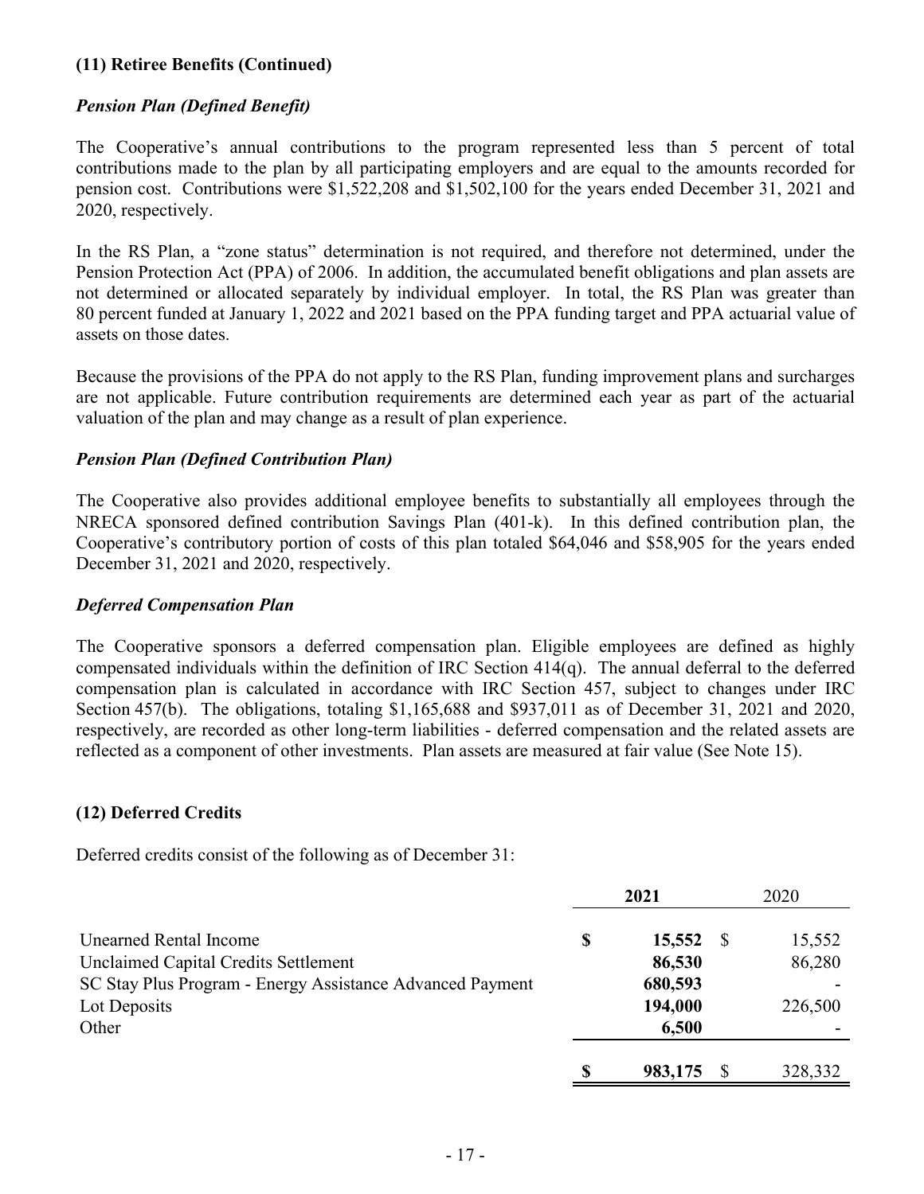### **(11) Retiree Benefits (Continued)**

### *Pension Plan (Defined Benefit)*

The Cooperative's annual contributions to the program represented less than 5 percent of total contributions made to the plan by all participating employers and are equal to the amounts recorded for pension cost. Contributions were \$1,522,208 and \$1,502,100 for the years ended December 31, 2021 and 2020, respectively.

In the RS Plan, a "zone status" determination is not required, and therefore not determined, under the Pension Protection Act (PPA) of 2006. In addition, the accumulated benefit obligations and plan assets are not determined or allocated separately by individual employer. In total, the RS Plan was greater than 80 percent funded at January 1, 2022 and 2021 based on the PPA funding target and PPA actuarial value of assets on those dates.

Because the provisions of the PPA do not apply to the RS Plan, funding improvement plans and surcharges are not applicable. Future contribution requirements are determined each year as part of the actuarial valuation of the plan and may change as a result of plan experience.

### *Pension Plan (Defined Contribution Plan)*

The Cooperative also provides additional employee benefits to substantially all employees through the NRECA sponsored defined contribution Savings Plan (401-k). In this defined contribution plan, the Cooperative's contributory portion of costs of this plan totaled \$64,046 and \$58,905 for the years ended December 31, 2021 and 2020, respectively.

#### *Deferred Compensation Plan*

The Cooperative sponsors a deferred compensation plan. Eligible employees are defined as highly compensated individuals within the definition of IRC Section 414(q). The annual deferral to the deferred compensation plan is calculated in accordance with IRC Section 457, subject to changes under IRC Section 457(b). The obligations, totaling \$1,165,688 and \$937,011 as of December 31, 2021 and 2020, respectively, are recorded as other long-term liabilities - deferred compensation and the related assets are reflected as a component of other investments. Plan assets are measured at fair value (See Note 15).

### **(12) Deferred Credits**

Deferred credits consist of the following as of December 31:

|                                                           |    | 2021    | 2020 |         |  |
|-----------------------------------------------------------|----|---------|------|---------|--|
| <b>Unearned Rental Income</b>                             | \$ | 15,552  |      | 15,552  |  |
| Unclaimed Capital Credits Settlement                      |    | 86,530  |      | 86,280  |  |
| SC Stay Plus Program - Energy Assistance Advanced Payment |    | 680,593 |      |         |  |
| Lot Deposits                                              |    | 194,000 |      | 226,500 |  |
| Other                                                     |    | 6,500   |      |         |  |
|                                                           | S  | 983,175 |      | 328,332 |  |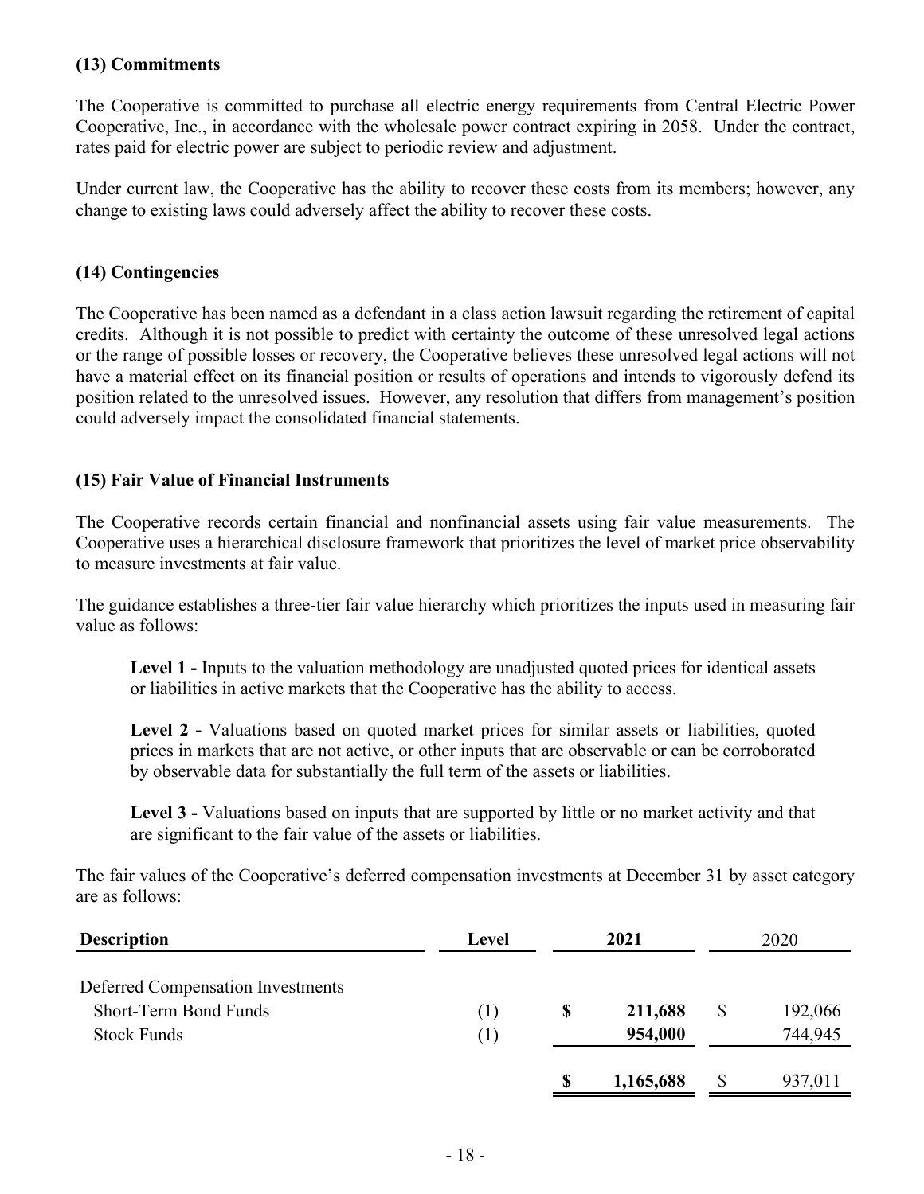### **(13) Commitments**

The Cooperative is committed to purchase all electric energy requirements from Central Electric Power Cooperative, Inc., in accordance with the wholesale power contract expiring in 2058. Under the contract, rates paid for electric power are subject to periodic review and adjustment.

Under current law, the Cooperative has the ability to recover these costs from its members; however, any change to existing laws could adversely affect the ability to recover these costs.

#### **(14) Contingencies**

The Cooperative has been named as a defendant in a class action lawsuit regarding the retirement of capital credits. Although it is not possible to predict with certainty the outcome of these unresolved legal actions or the range of possible losses or recovery, the Cooperative believes these unresolved legal actions will not have a material effect on its financial position or results of operations and intends to vigorously defend its position related to the unresolved issues. However, any resolution that differs from management's position could adversely impact the consolidated financial statements.

### **(15) Fair Value of Financial Instruments**

The Cooperative records certain financial and nonfinancial assets using fair value measurements. The Cooperative uses a hierarchical disclosure framework that prioritizes the level of market price observability to measure investments at fair value.

The guidance establishes a three-tier fair value hierarchy which prioritizes the inputs used in measuring fair value as follows:

**Level 1 -** Inputs to the valuation methodology are unadjusted quoted prices for identical assets or liabilities in active markets that the Cooperative has the ability to access.

Level 2 - Valuations based on quoted market prices for similar assets or liabilities, quoted prices in markets that are not active, or other inputs that are observable or can be corroborated by observable data for substantially the full term of the assets or liabilities.

**Level 3 -** Valuations based on inputs that are supported by little or no market activity and that are significant to the fair value of the assets or liabilities.

The fair values of the Cooperative's deferred compensation investments at December 31 by asset category are as follows:

| <b>Description</b>                       | Level | 2021          | 2020 |         |  |
|------------------------------------------|-------|---------------|------|---------|--|
| <b>Deferred Compensation Investments</b> |       |               |      |         |  |
| Short-Term Bond Funds                    | ( 1 ) | \$<br>211,688 | \$   | 192,066 |  |
| <b>Stock Funds</b>                       | (1)   | 954,000       |      | 744,945 |  |
|                                          |       | 1,165,688     | \$   | 937,011 |  |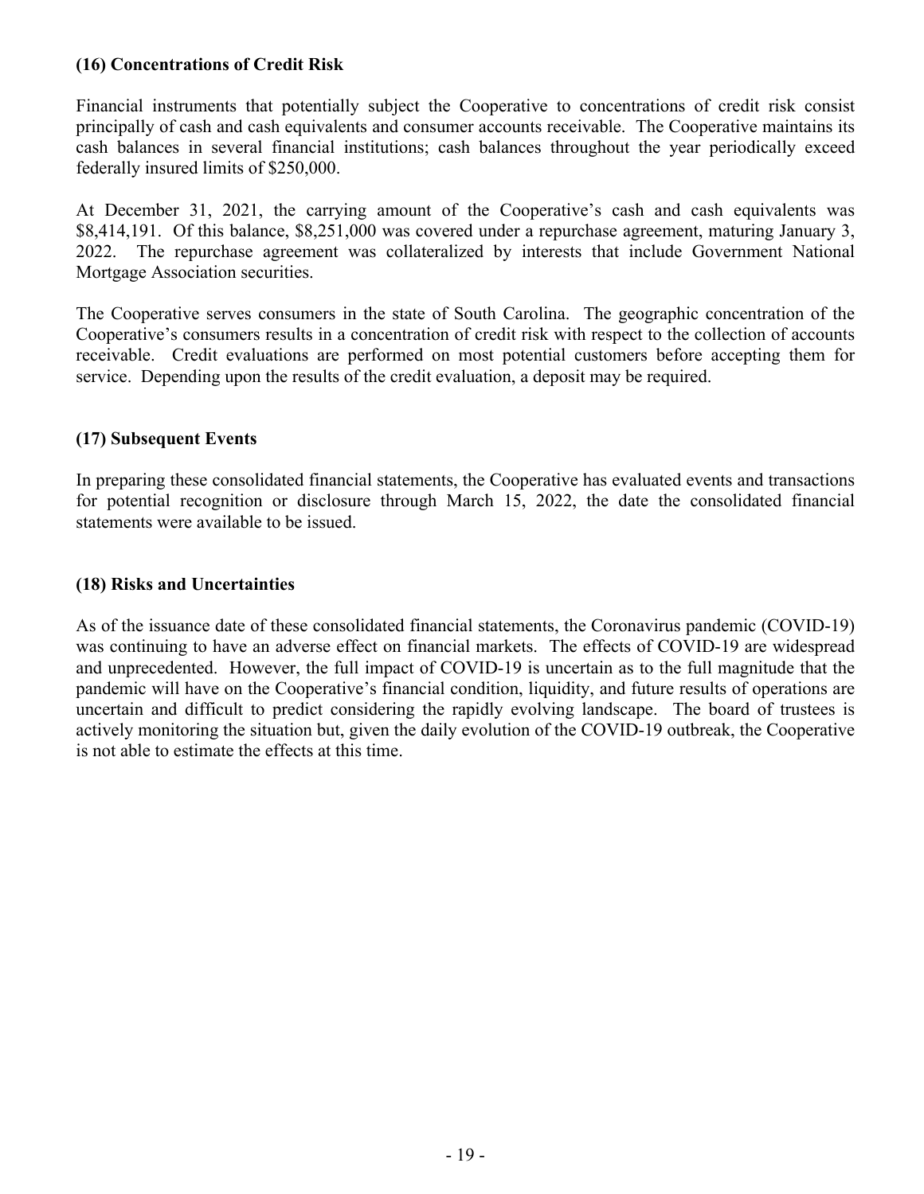### **(16) Concentrations of Credit Risk**

Financial instruments that potentially subject the Cooperative to concentrations of credit risk consist principally of cash and cash equivalents and consumer accounts receivable. The Cooperative maintains its cash balances in several financial institutions; cash balances throughout the year periodically exceed federally insured limits of \$250,000.

At December 31, 2021, the carrying amount of the Cooperative's cash and cash equivalents was \$8,414,191. Of this balance, \$8,251,000 was covered under a repurchase agreement, maturing January 3, 2022. The repurchase agreement was collateralized by interests that include Government National Mortgage Association securities.

The Cooperative serves consumers in the state of South Carolina. The geographic concentration of the Cooperative's consumers results in a concentration of credit risk with respect to the collection of accounts receivable. Credit evaluations are performed on most potential customers before accepting them for service. Depending upon the results of the credit evaluation, a deposit may be required.

### **(17) Subsequent Events**

In preparing these consolidated financial statements, the Cooperative has evaluated events and transactions for potential recognition or disclosure through March 15, 2022, the date the consolidated financial statements were available to be issued.

#### **(18) Risks and Uncertainties**

As of the issuance date of these consolidated financial statements, the Coronavirus pandemic (COVID-19) was continuing to have an adverse effect on financial markets. The effects of COVID-19 are widespread and unprecedented. However, the full impact of COVID-19 is uncertain as to the full magnitude that the pandemic will have on the Cooperative's financial condition, liquidity, and future results of operations are uncertain and difficult to predict considering the rapidly evolving landscape. The board of trustees is actively monitoring the situation but, given the daily evolution of the COVID-19 outbreak, the Cooperative is not able to estimate the effects at this time.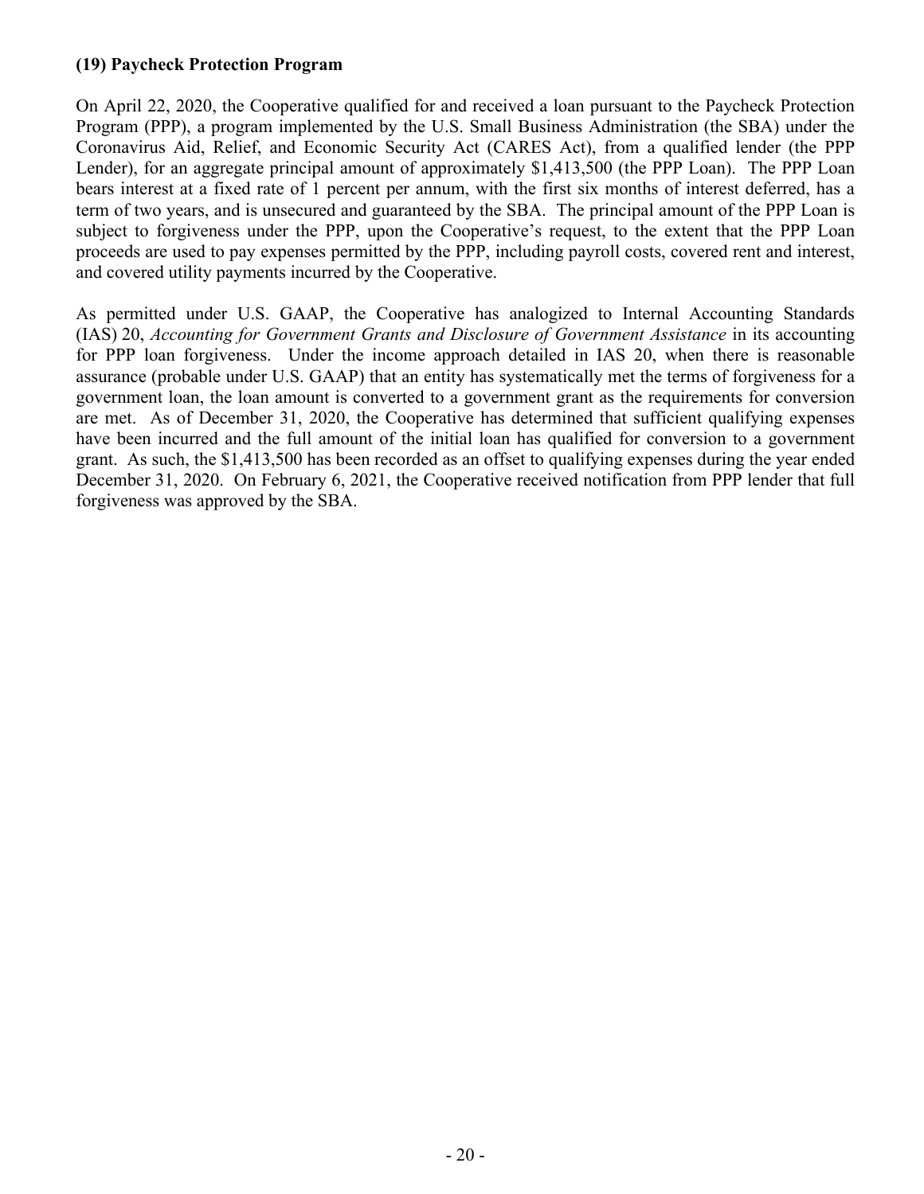### **(19) Paycheck Protection Program**

On April 22, 2020, the Cooperative qualified for and received a loan pursuant to the Paycheck Protection Program (PPP), a program implemented by the U.S. Small Business Administration (the SBA) under the Coronavirus Aid, Relief, and Economic Security Act (CARES Act), from a qualified lender (the PPP Lender), for an aggregate principal amount of approximately \$1,413,500 (the PPP Loan). The PPP Loan bears interest at a fixed rate of 1 percent per annum, with the first six months of interest deferred, has a term of two years, and is unsecured and guaranteed by the SBA. The principal amount of the PPP Loan is subject to forgiveness under the PPP, upon the Cooperative's request, to the extent that the PPP Loan proceeds are used to pay expenses permitted by the PPP, including payroll costs, covered rent and interest, and covered utility payments incurred by the Cooperative.

As permitted under U.S. GAAP, the Cooperative has analogized to Internal Accounting Standards (IAS) 20, *Accounting for Government Grants and Disclosure of Government Assistance* in its accounting for PPP loan forgiveness. Under the income approach detailed in IAS 20, when there is reasonable assurance (probable under U.S. GAAP) that an entity has systematically met the terms of forgiveness for a government loan, the loan amount is converted to a government grant as the requirements for conversion are met. As of December 31, 2020, the Cooperative has determined that sufficient qualifying expenses have been incurred and the full amount of the initial loan has qualified for conversion to a government grant. As such, the \$1,413,500 has been recorded as an offset to qualifying expenses during the year ended December 31, 2020. On February 6, 2021, the Cooperative received notification from PPP lender that full forgiveness was approved by the SBA.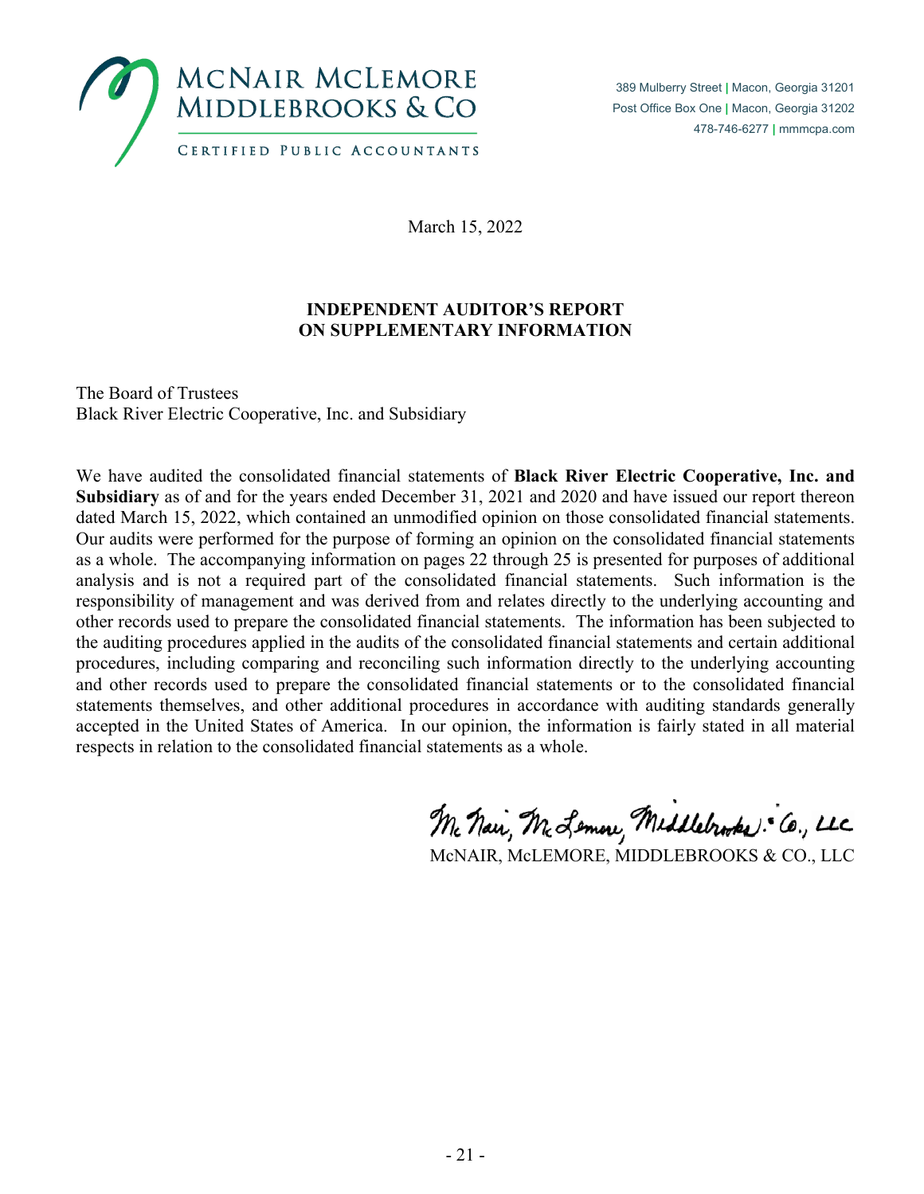

March 15, 2022

## **INDEPENDENT AUDITOR'S REPORT ON SUPPLEMENTARY INFORMATION**

The Board of Trustees Black River Electric Cooperative, Inc. and Subsidiary

We have audited the consolidated financial statements of **Black River Electric Cooperative, Inc. and Subsidiary** as of and for the years ended December 31, 2021 and 2020 and have issued our report thereon dated March 15, 2022, which contained an unmodified opinion on those consolidated financial statements. Our audits were performed for the purpose of forming an opinion on the consolidated financial statements as a whole. The accompanying information on pages 22 through 25 is presented for purposes of additional analysis and is not a required part of the consolidated financial statements. Such information is the responsibility of management and was derived from and relates directly to the underlying accounting and other records used to prepare the consolidated financial statements. The information has been subjected to the auditing procedures applied in the audits of the consolidated financial statements and certain additional procedures, including comparing and reconciling such information directly to the underlying accounting and other records used to prepare the consolidated financial statements or to the consolidated financial statements themselves, and other additional procedures in accordance with auditing standards generally accepted in the United States of America. In our opinion, the information is fairly stated in all material respects in relation to the consolidated financial statements as a whole.

Mc Nai, Mc Lemon, Middlebrooks: Co., LLC

McNAIR, McLEMORE, MIDDLEBROOKS & CO., LLC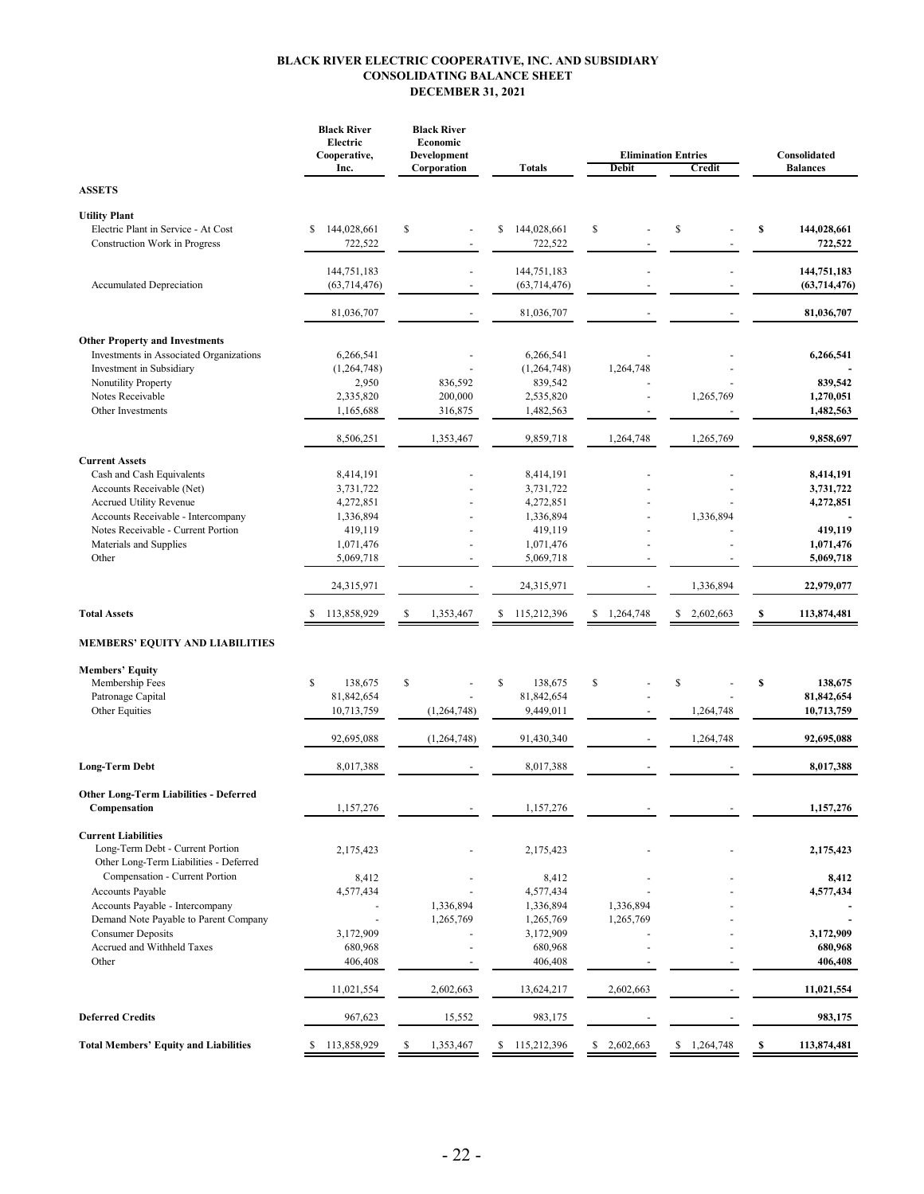#### **BLACK RIVER ELECTRIC COOPERATIVE, INC. AND SUBSIDIARY CONSOLIDATING BALANCE SHEET DECEMBER 31, 2021**

|                                                                                                                                                                                                                                  | <b>Black River</b><br>Electric<br>Cooperative,<br>Inc.                                | <b>Black River</b><br>Economic<br>Development<br><b>Totals</b><br>Corporation |                                                                                       | Debit                  | <b>Elimination Entries</b><br>Credit | Consolidated<br><b>Balances</b>                                          |  |  |
|----------------------------------------------------------------------------------------------------------------------------------------------------------------------------------------------------------------------------------|---------------------------------------------------------------------------------------|-------------------------------------------------------------------------------|---------------------------------------------------------------------------------------|------------------------|--------------------------------------|--------------------------------------------------------------------------|--|--|
| <b>ASSETS</b>                                                                                                                                                                                                                    |                                                                                       |                                                                               |                                                                                       |                        |                                      |                                                                          |  |  |
| <b>Utility Plant</b><br>Electric Plant in Service - At Cost<br>Construction Work in Progress                                                                                                                                     | 144,028,661<br>\$<br>722,522                                                          | \$                                                                            | 144,028,661<br>\$<br>722,522                                                          | \$                     | \$                                   | S<br>144,028,661<br>722,522                                              |  |  |
| Accumulated Depreciation                                                                                                                                                                                                         | 144,751,183<br>(63, 714, 476)                                                         |                                                                               | 144,751,183<br>(63, 714, 476)                                                         |                        |                                      | 144,751,183<br>(63, 714, 476)                                            |  |  |
|                                                                                                                                                                                                                                  | 81,036,707                                                                            |                                                                               | 81,036,707                                                                            |                        |                                      | 81,036,707                                                               |  |  |
| <b>Other Property and Investments</b><br>Investments in Associated Organizations<br>Investment in Subsidiary<br>Nonutility Property<br>Notes Receivable                                                                          | 6,266,541<br>(1, 264, 748)<br>2,950<br>2,335,820                                      | 836,592<br>200,000                                                            | 6,266,541<br>(1,264,748)<br>839,542<br>2,535,820                                      | 1,264,748              | 1,265,769                            | 6,266,541<br>839,542<br>1,270,051                                        |  |  |
| Other Investments                                                                                                                                                                                                                | 1,165,688                                                                             | 316,875                                                                       | 1,482,563                                                                             |                        |                                      | 1,482,563                                                                |  |  |
|                                                                                                                                                                                                                                  | 8,506,251                                                                             | 1,353,467                                                                     | 9,859,718                                                                             | 1,264,748              | 1,265,769                            | 9,858,697                                                                |  |  |
| <b>Current Assets</b><br>Cash and Cash Equivalents<br>Accounts Receivable (Net)<br><b>Accrued Utility Revenue</b><br>Accounts Receivable - Intercompany<br>Notes Receivable - Current Portion<br>Materials and Supplies<br>Other | 8,414,191<br>3,731,722<br>4,272,851<br>1,336,894<br>419,119<br>1,071,476<br>5,069,718 |                                                                               | 8,414,191<br>3,731,722<br>4,272,851<br>1,336,894<br>419,119<br>1,071,476<br>5,069,718 |                        | 1,336,894                            | 8,414,191<br>3,731,722<br>4,272,851<br>419,119<br>1,071,476<br>5,069,718 |  |  |
|                                                                                                                                                                                                                                  | 24,315,971                                                                            |                                                                               | 24,315,971                                                                            |                        | 1,336,894                            | 22,979,077                                                               |  |  |
| <b>Total Assets</b>                                                                                                                                                                                                              | 113,858,929                                                                           | 1,353,467                                                                     | 115,212,396<br>\$                                                                     | 1,264,748<br>\$        | 2,602,663<br>\$                      | 113,874,481<br>\$                                                        |  |  |
| MEMBERS' EQUITY AND LIABILITIES                                                                                                                                                                                                  |                                                                                       |                                                                               |                                                                                       |                        |                                      |                                                                          |  |  |
| <b>Members' Equity</b><br>Membership Fees<br>Patronage Capital<br>Other Equities                                                                                                                                                 | \$<br>138,675<br>81,842,654<br>10,713,759<br>92,695,088                               | S<br>(1, 264, 748)<br>(1, 264, 748)                                           | \$<br>138,675<br>81,842,654<br>9,449,011<br>91,430,340                                | \$                     | \$<br>1,264,748<br>1,264,748         | \$<br>138,675<br>81,842,654<br>10,713,759<br>92,695,088                  |  |  |
| <b>Long-Term Debt</b>                                                                                                                                                                                                            | 8,017,388                                                                             |                                                                               | 8,017,388                                                                             |                        |                                      | 8,017,388                                                                |  |  |
| <b>Other Long-Term Liabilities - Deferred</b><br>Compensation                                                                                                                                                                    | 1,157,276                                                                             |                                                                               | 1,157,276                                                                             |                        |                                      | 1,157,276                                                                |  |  |
| <b>Current Liabilities</b><br>Long-Term Debt - Current Portion<br>Other Long-Term Liabilities - Deferred                                                                                                                         | 2,175,423                                                                             |                                                                               | 2,175,423                                                                             |                        |                                      | 2,175,423                                                                |  |  |
| Compensation - Current Portion<br>Accounts Payable<br>Accounts Payable - Intercompany<br>Demand Note Payable to Parent Company<br><b>Consumer Deposits</b><br>Accrued and Withheld Taxes<br>Other                                | 8,412<br>4,577,434<br>3,172,909<br>680,968<br>406,408                                 | 1,336,894<br>1,265,769                                                        | 8,412<br>4,577,434<br>1,336,894<br>1,265,769<br>3,172,909<br>680,968<br>406,408       | 1,336,894<br>1,265,769 |                                      | 8,412<br>4,577,434<br>3,172,909<br>680,968<br>406,408                    |  |  |
|                                                                                                                                                                                                                                  | 11,021,554                                                                            | 2,602,663                                                                     | 13,624,217                                                                            | 2,602,663              |                                      | 11,021,554                                                               |  |  |
| <b>Deferred Credits</b>                                                                                                                                                                                                          | 967,623                                                                               | 15,552                                                                        | 983,175                                                                               |                        |                                      | 983,175                                                                  |  |  |
| <b>Total Members' Equity and Liabilities</b>                                                                                                                                                                                     | 113,858,929<br>S                                                                      | 1,353,467<br>S                                                                | 115,212,396<br>\$                                                                     | 2,602,663<br>\$        | \$<br>1,264,748                      | 113,874,481<br>S                                                         |  |  |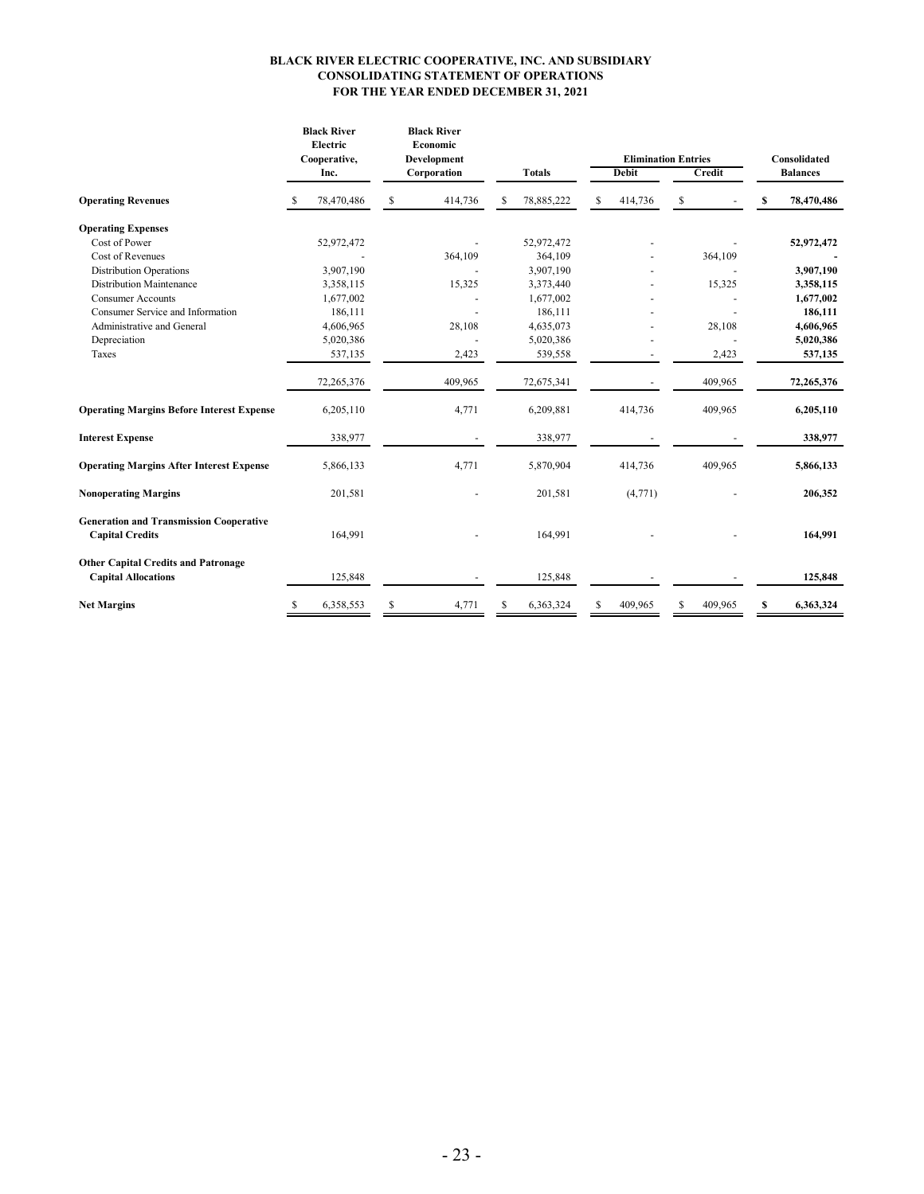#### **CONSOLIDATING STATEMENT OF OPERATIONS FOR THE YEAR ENDED DECEMBER 31, 2021 BLACK RIVER ELECTRIC COOPERATIVE, INC. AND SUBSIDIARY**

|                                                                          | <b>Black River</b><br>Electric<br>Cooperative, | <b>Black River</b><br>Economic<br>Development |                  | <b>Elimination Entries</b> | Consolidated |                 |  |
|--------------------------------------------------------------------------|------------------------------------------------|-----------------------------------------------|------------------|----------------------------|--------------|-----------------|--|
|                                                                          | Inc.                                           | Corporation                                   | <b>Totals</b>    | <b>Debit</b>               | Credit       | <b>Balances</b> |  |
| <b>Operating Revenues</b>                                                | 78,470,486<br>-S                               | S<br>414,736                                  | 78,885,222<br>-S | \$<br>414,736              | \$           | S<br>78,470,486 |  |
| <b>Operating Expenses</b>                                                |                                                |                                               |                  |                            |              |                 |  |
| Cost of Power                                                            | 52,972,472                                     |                                               | 52,972,472       |                            |              | 52,972,472      |  |
| Cost of Revenues                                                         |                                                | 364,109                                       | 364,109          |                            | 364,109      |                 |  |
| <b>Distribution Operations</b>                                           | 3,907,190                                      |                                               | 3,907,190        |                            |              | 3,907,190       |  |
| <b>Distribution Maintenance</b>                                          | 3,358,115                                      | 15,325                                        | 3,373,440        |                            | 15,325       | 3,358,115       |  |
| <b>Consumer Accounts</b>                                                 | 1,677,002                                      |                                               | 1,677,002        |                            |              | 1,677,002       |  |
| Consumer Service and Information                                         | 186,111                                        |                                               | 186,111          |                            |              | 186,111         |  |
| Administrative and General                                               | 4,606,965                                      | 28,108                                        | 4,635,073        |                            | 28,108       | 4,606,965       |  |
| Depreciation                                                             | 5,020,386                                      |                                               | 5,020,386        |                            |              | 5,020,386       |  |
| Taxes                                                                    | 537,135                                        | 2,423                                         | 539,558          |                            | 2,423        | 537,135         |  |
|                                                                          | 72,265,376                                     | 409,965                                       | 72,675,341       |                            | 409,965      | 72,265,376      |  |
| <b>Operating Margins Before Interest Expense</b>                         | 6,205,110                                      | 4,771                                         | 6,209,881        | 414,736                    | 409,965      | 6,205,110       |  |
| <b>Interest Expense</b>                                                  | 338,977                                        |                                               | 338,977          |                            |              | 338,977         |  |
| <b>Operating Margins After Interest Expense</b>                          | 5,866,133                                      | 4,771                                         | 5,870,904        | 414,736                    | 409,965      | 5,866,133       |  |
| <b>Nonoperating Margins</b>                                              | 201,581                                        |                                               | 201,581          | (4,771)                    |              | 206,352         |  |
| <b>Generation and Transmission Cooperative</b><br><b>Capital Credits</b> | 164,991                                        |                                               | 164,991          |                            |              | 164,991         |  |
| <b>Other Capital Credits and Patronage</b><br><b>Capital Allocations</b> | 125,848                                        |                                               | 125,848          |                            |              | 125,848         |  |
| <b>Net Margins</b>                                                       | 6,358,553                                      | 4,771<br>S                                    | 6,363,324        | 409.965                    | 409.965<br>ς | 6,363,324<br>S  |  |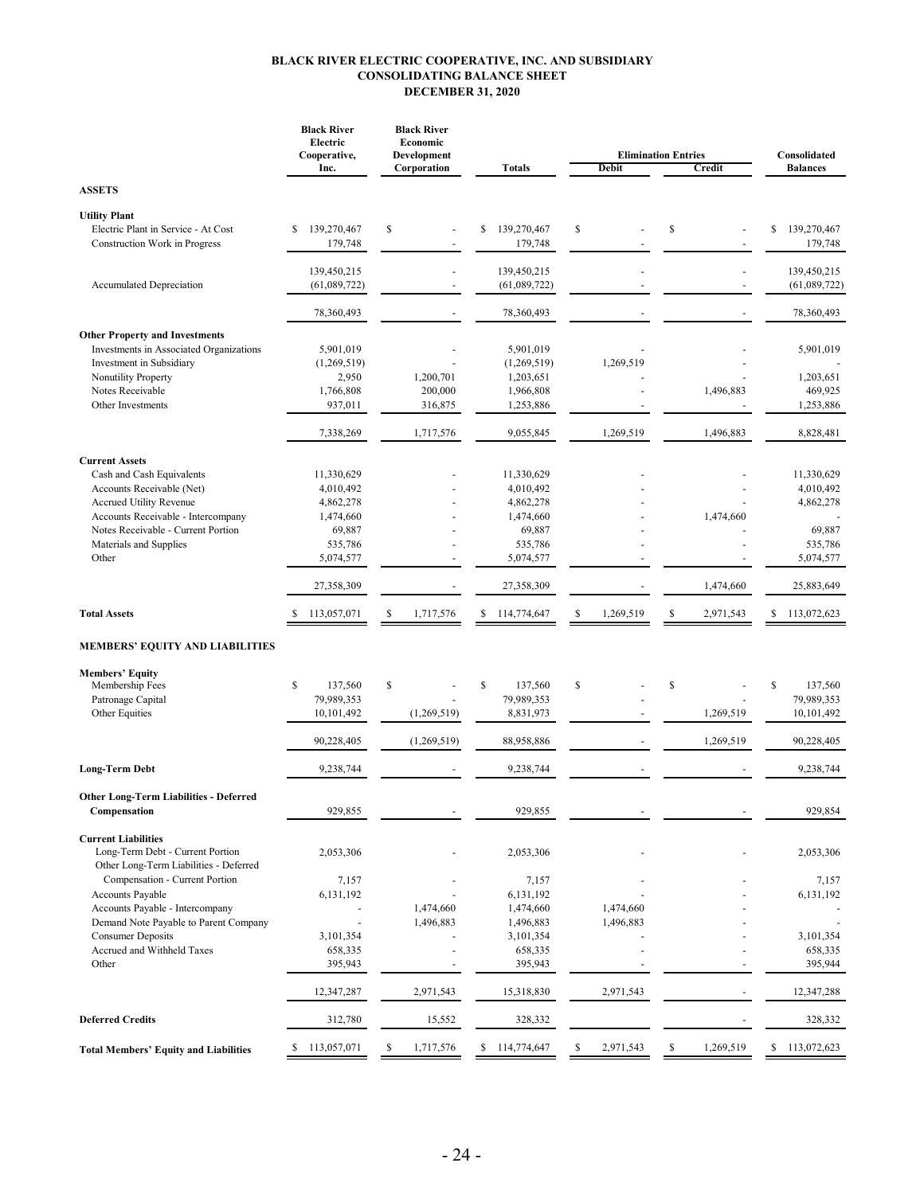#### **BLACK RIVER ELECTRIC COOPERATIVE, INC. AND SUBSIDIARY CONSOLIDATING BALANCE SHEET DECEMBER 31, 2020**

|                                                                                                                                                                                                                                  | <b>Black River</b><br>Electric<br>Cooperative,<br>Inc.                                            | <b>Black River</b><br>Economic<br>Development<br>Corporation | <b>Totals</b>                                                                                     | <b>Elimination Entries</b><br><b>Debit</b> | Consolidated<br><b>Balances</b> |                                                                                      |
|----------------------------------------------------------------------------------------------------------------------------------------------------------------------------------------------------------------------------------|---------------------------------------------------------------------------------------------------|--------------------------------------------------------------|---------------------------------------------------------------------------------------------------|--------------------------------------------|---------------------------------|--------------------------------------------------------------------------------------|
|                                                                                                                                                                                                                                  |                                                                                                   |                                                              |                                                                                                   |                                            | Credit                          |                                                                                      |
| <b>ASSETS</b>                                                                                                                                                                                                                    |                                                                                                   |                                                              |                                                                                                   |                                            |                                 |                                                                                      |
| <b>Utility Plant</b><br>Electric Plant in Service - At Cost<br>Construction Work in Progress                                                                                                                                     | 139,270,467<br>\$<br>179,748                                                                      | \$                                                           | 139,270,467<br>\$<br>179,748                                                                      | \$                                         | \$                              | \$<br>139,270,467<br>179,748                                                         |
| Accumulated Depreciation                                                                                                                                                                                                         | 139,450,215<br>(61,089,722)                                                                       | $\overline{\phantom{a}}$                                     | 139,450,215<br>(61,089,722)                                                                       |                                            |                                 | 139,450,215<br>(61,089,722)                                                          |
|                                                                                                                                                                                                                                  | 78,360,493                                                                                        |                                                              | 78,360,493                                                                                        |                                            |                                 | 78,360,493                                                                           |
| <b>Other Property and Investments</b><br>Investments in Associated Organizations<br>Investment in Subsidiary<br>Nonutility Property<br>Notes Receivable<br>Other Investments                                                     | 5,901,019<br>(1,269,519)<br>2,950<br>1,766,808<br>937,011                                         | 1,200,701<br>200,000<br>316,875                              | 5,901,019<br>(1,269,519)<br>1,203,651<br>1,966,808<br>1,253,886                                   | 1,269,519                                  | 1,496,883                       | 5,901,019<br>1,203,651<br>469,925<br>1,253,886                                       |
|                                                                                                                                                                                                                                  | 7,338,269                                                                                         | 1,717,576                                                    | 9,055,845                                                                                         | 1,269,519                                  | 1,496,883                       | 8,828,481                                                                            |
| <b>Current Assets</b><br>Cash and Cash Equivalents<br>Accounts Receivable (Net)<br><b>Accrued Utility Revenue</b><br>Accounts Receivable - Intercompany<br>Notes Receivable - Current Portion<br>Materials and Supplies<br>Other | 11,330,629<br>4,010,492<br>4,862,278<br>1,474,660<br>69,887<br>535,786<br>5,074,577<br>27,358,309 |                                                              | 11,330,629<br>4,010,492<br>4,862,278<br>1,474,660<br>69,887<br>535,786<br>5,074,577<br>27,358,309 |                                            | 1,474,660<br>1,474,660          | 11,330,629<br>4,010,492<br>4,862,278<br>69,887<br>535,786<br>5,074,577<br>25,883,649 |
| <b>Total Assets</b>                                                                                                                                                                                                              | 113,057,071<br>S                                                                                  | \$<br>1,717,576                                              | \$<br>114,774,647                                                                                 | S<br>1,269,519                             | \$<br>2,971,543                 | \$<br>113,072,623                                                                    |
|                                                                                                                                                                                                                                  |                                                                                                   |                                                              |                                                                                                   |                                            |                                 |                                                                                      |
| <b>MEMBERS' EQUITY AND LIABILITIES</b><br><b>Members' Equity</b><br>Membership Fees                                                                                                                                              | $\mathbb{S}$<br>137,560                                                                           | \$                                                           | \$<br>137,560                                                                                     | $\mathbb{S}$                               | \$                              | \$<br>137,560                                                                        |
| Patronage Capital<br>Other Equities                                                                                                                                                                                              | 79,989,353<br>10,101,492                                                                          | (1,269,519)                                                  | 79,989,353<br>8,831,973                                                                           |                                            | 1,269,519                       | 79,989,353<br>10,101,492                                                             |
|                                                                                                                                                                                                                                  | 90,228,405                                                                                        | (1,269,519)                                                  | 88,958,886                                                                                        |                                            | 1,269,519                       | 90,228,405                                                                           |
| <b>Long-Term Debt</b>                                                                                                                                                                                                            | 9,238,744                                                                                         |                                                              | 9,238,744                                                                                         |                                            |                                 | 9,238,744                                                                            |
| <b>Other Long-Term Liabilities - Deferred</b><br>Compensation                                                                                                                                                                    | 929,855                                                                                           |                                                              | 929,855                                                                                           |                                            |                                 | 929,854                                                                              |
| <b>Current Liabilities</b><br>Long-Term Debt - Current Portion<br>Other Long-Term Liabilities - Deferred                                                                                                                         | 2,053,306                                                                                         |                                                              | 2,053,306                                                                                         |                                            |                                 | 2,053,306                                                                            |
| Compensation - Current Portion<br>Accounts Payable<br>Accounts Payable - Intercompany<br>Demand Note Payable to Parent Company<br><b>Consumer Deposits</b>                                                                       | 7,157<br>6,131,192<br>3,101,354                                                                   | 1,474,660<br>1,496,883                                       | 7,157<br>6,131,192<br>1,474,660<br>1,496,883<br>3,101,354                                         | 1,474,660<br>1,496,883                     |                                 | 7,157<br>6,131,192<br>3,101,354                                                      |
| Accrued and Withheld Taxes<br>Other                                                                                                                                                                                              | 658,335<br>395,943                                                                                |                                                              | 658,335<br>395,943                                                                                |                                            |                                 | 658,335<br>395,944                                                                   |
|                                                                                                                                                                                                                                  | 12,347,287                                                                                        | 2,971,543                                                    | 15,318,830                                                                                        | 2,971,543                                  |                                 | 12,347,288                                                                           |
| <b>Deferred Credits</b>                                                                                                                                                                                                          | 312,780                                                                                           | 15,552                                                       | 328,332                                                                                           |                                            |                                 | 328,332                                                                              |
| <b>Total Members' Equity and Liabilities</b>                                                                                                                                                                                     | 113,057,071<br>s                                                                                  | \$<br>1,717,576                                              | \$<br>114,774,647                                                                                 | 2,971,543<br>\$                            | \$<br>1,269,519                 | 113,072,623<br>\$                                                                    |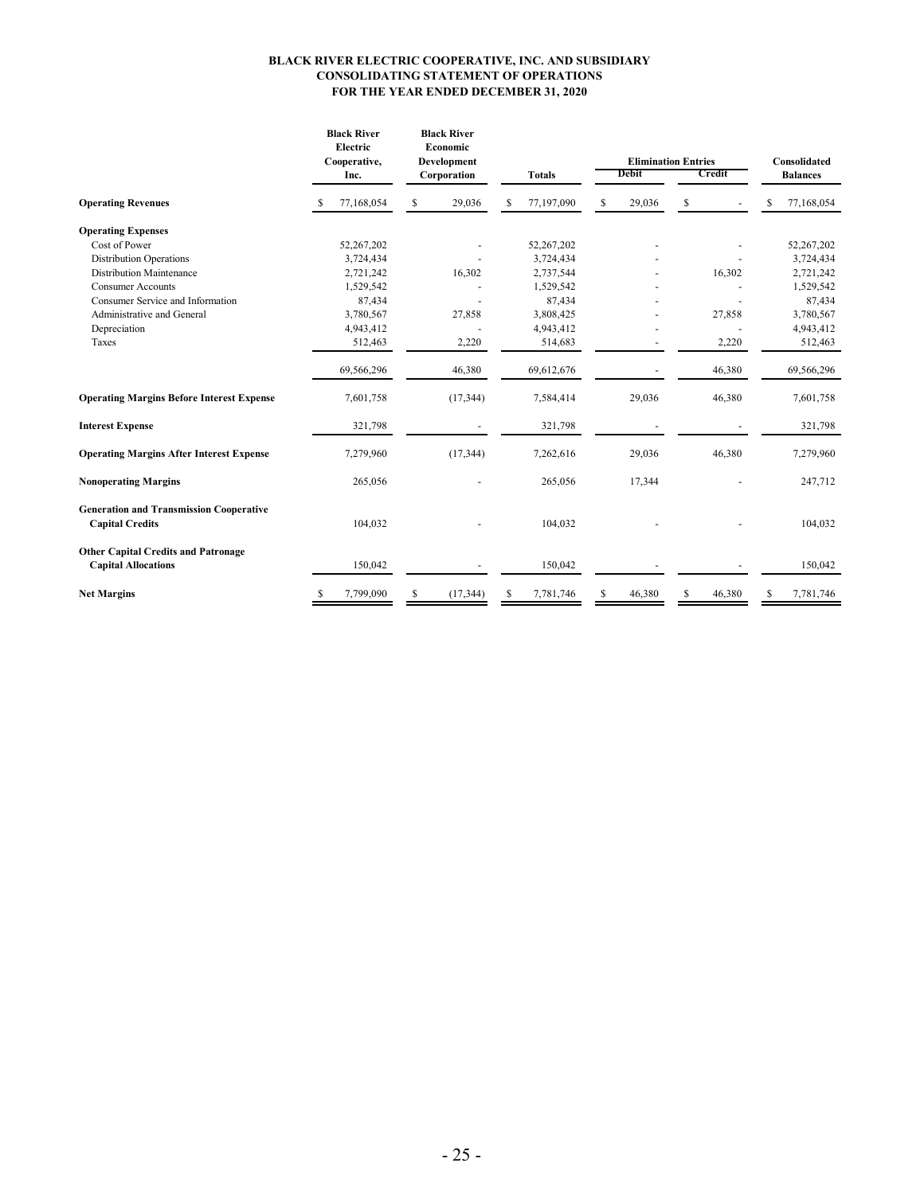#### **BLACK RIVER ELECTRIC COOPERATIVE, INC. AND SUBSIDIARY CONSOLIDATING STATEMENT OF OPERATIONS FOR THE YEAR ENDED DECEMBER 31, 2020**

|                                                                          |    | <b>Black River</b><br>Electric<br>Cooperative,<br>Inc. |    | <b>Black River</b><br>Economic<br><b>Development</b><br>Corporation | <b>Totals</b> |            |    | <b>Elimination Entries</b><br><b>Debit</b><br>Credit |   |        |    | Consolidated<br><b>Balances</b> |  |
|--------------------------------------------------------------------------|----|--------------------------------------------------------|----|---------------------------------------------------------------------|---------------|------------|----|------------------------------------------------------|---|--------|----|---------------------------------|--|
| <b>Operating Revenues</b>                                                |    | 77,168,054                                             | S  | 29,036                                                              |               | 77,197,090 | S  | 29,036                                               | S |        |    | 77,168,054                      |  |
| <b>Operating Expenses</b>                                                |    |                                                        |    |                                                                     |               |            |    |                                                      |   |        |    |                                 |  |
| Cost of Power                                                            |    | 52,267,202                                             |    |                                                                     |               | 52,267,202 |    |                                                      |   |        |    | 52,267,202                      |  |
| <b>Distribution Operations</b>                                           |    | 3,724,434                                              |    |                                                                     |               | 3,724,434  |    |                                                      |   |        |    | 3,724,434                       |  |
| <b>Distribution Maintenance</b>                                          |    | 2,721,242                                              |    | 16,302                                                              |               | 2,737,544  |    |                                                      |   | 16,302 |    | 2,721,242                       |  |
| <b>Consumer Accounts</b>                                                 |    | 1,529,542                                              |    |                                                                     |               | 1,529,542  |    |                                                      |   |        |    | 1,529,542                       |  |
| Consumer Service and Information                                         |    | 87,434                                                 |    |                                                                     |               | 87,434     |    |                                                      |   |        |    | 87,434                          |  |
| Administrative and General                                               |    | 3,780,567                                              |    | 27,858                                                              |               | 3,808,425  |    |                                                      |   | 27,858 |    | 3,780,567                       |  |
| Depreciation                                                             |    | 4,943,412                                              |    |                                                                     |               | 4,943,412  |    |                                                      |   |        |    | 4,943,412                       |  |
| Taxes                                                                    |    | 512,463                                                |    | 2,220                                                               |               | 514,683    |    |                                                      |   | 2,220  |    | 512,463                         |  |
|                                                                          |    | 69,566,296                                             |    | 46,380                                                              |               | 69,612,676 |    |                                                      |   | 46,380 |    | 69,566,296                      |  |
| <b>Operating Margins Before Interest Expense</b>                         |    | 7,601,758                                              |    | (17, 344)                                                           |               | 7,584,414  |    | 29,036                                               |   | 46,380 |    | 7,601,758                       |  |
| <b>Interest Expense</b>                                                  |    | 321,798                                                |    |                                                                     |               | 321,798    |    |                                                      |   |        |    | 321,798                         |  |
| <b>Operating Margins After Interest Expense</b>                          |    | 7,279,960                                              |    | (17, 344)                                                           |               | 7,262,616  |    | 29,036                                               |   | 46,380 |    | 7,279,960                       |  |
| <b>Nonoperating Margins</b>                                              |    | 265,056                                                |    |                                                                     |               | 265,056    |    | 17,344                                               |   |        |    | 247,712                         |  |
| <b>Generation and Transmission Cooperative</b><br><b>Capital Credits</b> |    | 104,032                                                |    |                                                                     |               | 104,032    |    |                                                      |   |        |    | 104,032                         |  |
| <b>Other Capital Credits and Patronage</b><br><b>Capital Allocations</b> |    | 150,042                                                |    |                                                                     |               | 150,042    |    |                                                      |   |        |    | 150,042                         |  |
| <b>Net Margins</b>                                                       | \$ | 7,799,090                                              | \$ | (17, 344)                                                           | \$            | 7,781,746  | \$ | 46,380                                               | S | 46,380 | \$ | 7,781,746                       |  |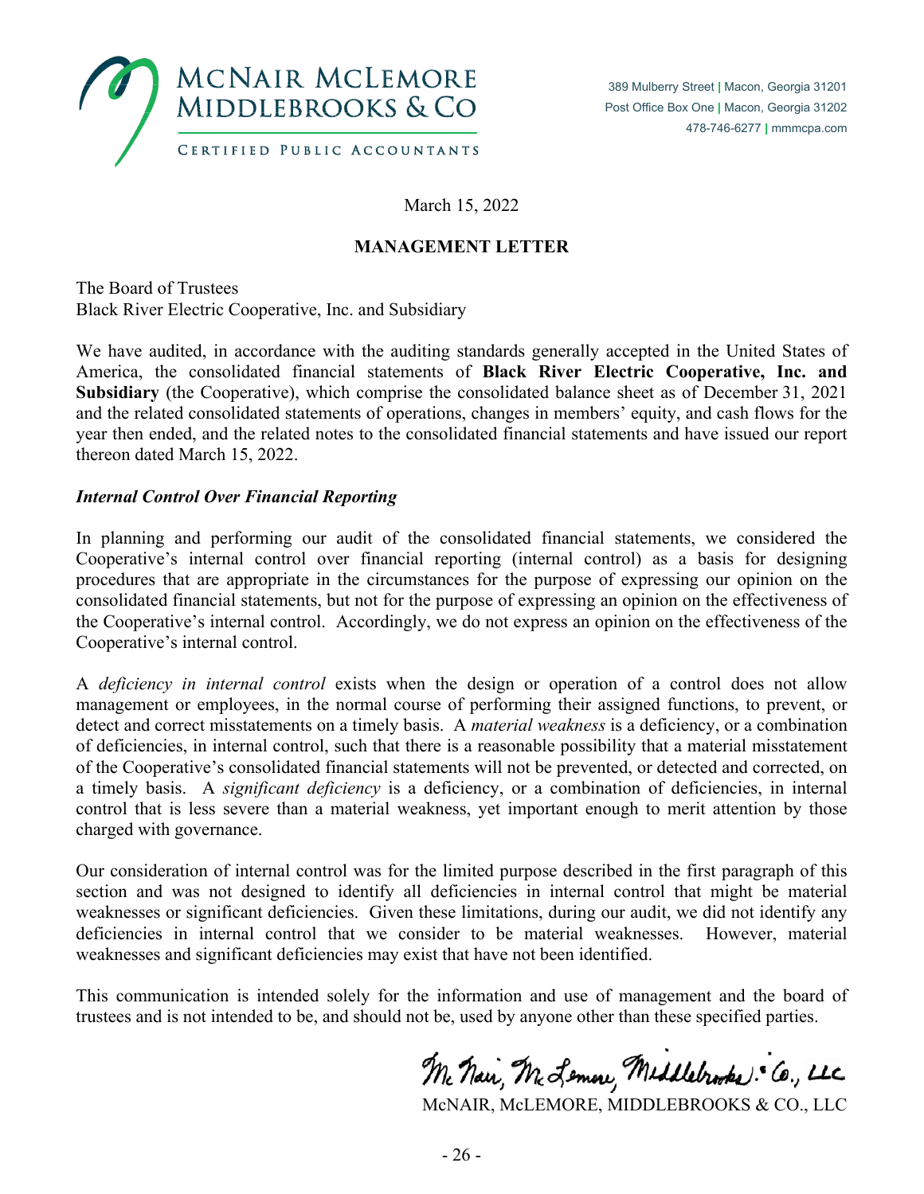

March 15, 2022

# **MANAGEMENT LETTER**

The Board of Trustees Black River Electric Cooperative, Inc. and Subsidiary

We have audited, in accordance with the auditing standards generally accepted in the United States of America, the consolidated financial statements of **Black River Electric Cooperative, Inc. and Subsidiary** (the Cooperative), which comprise the consolidated balance sheet as of December 31, 2021 and the related consolidated statements of operations, changes in members' equity, and cash flows for the year then ended, and the related notes to the consolidated financial statements and have issued our report thereon dated March 15, 2022.

### *Internal Control Over Financial Reporting*

In planning and performing our audit of the consolidated financial statements, we considered the Cooperative's internal control over financial reporting (internal control) as a basis for designing procedures that are appropriate in the circumstances for the purpose of expressing our opinion on the consolidated financial statements, but not for the purpose of expressing an opinion on the effectiveness of the Cooperative's internal control. Accordingly, we do not express an opinion on the effectiveness of the Cooperative's internal control.

A *deficiency in internal control* exists when the design or operation of a control does not allow management or employees, in the normal course of performing their assigned functions, to prevent, or detect and correct misstatements on a timely basis. A *material weakness* is a deficiency, or a combination of deficiencies, in internal control, such that there is a reasonable possibility that a material misstatement of the Cooperative's consolidated financial statements will not be prevented, or detected and corrected, on a timely basis. A *significant deficiency* is a deficiency, or a combination of deficiencies, in internal control that is less severe than a material weakness, yet important enough to merit attention by those charged with governance.

Our consideration of internal control was for the limited purpose described in the first paragraph of this section and was not designed to identify all deficiencies in internal control that might be material weaknesses or significant deficiencies. Given these limitations, during our audit, we did not identify any deficiencies in internal control that we consider to be material weaknesses. However, material weaknesses and significant deficiencies may exist that have not been identified.

This communication is intended solely for the information and use of management and the board of trustees and is not intended to be, and should not be, used by anyone other than these specified parties.

Mc Nai, M. Lemon, Meddlebrooks: Co., LLC

McNAIR, McLEMORE, MIDDLEBROOKS & CO., LLC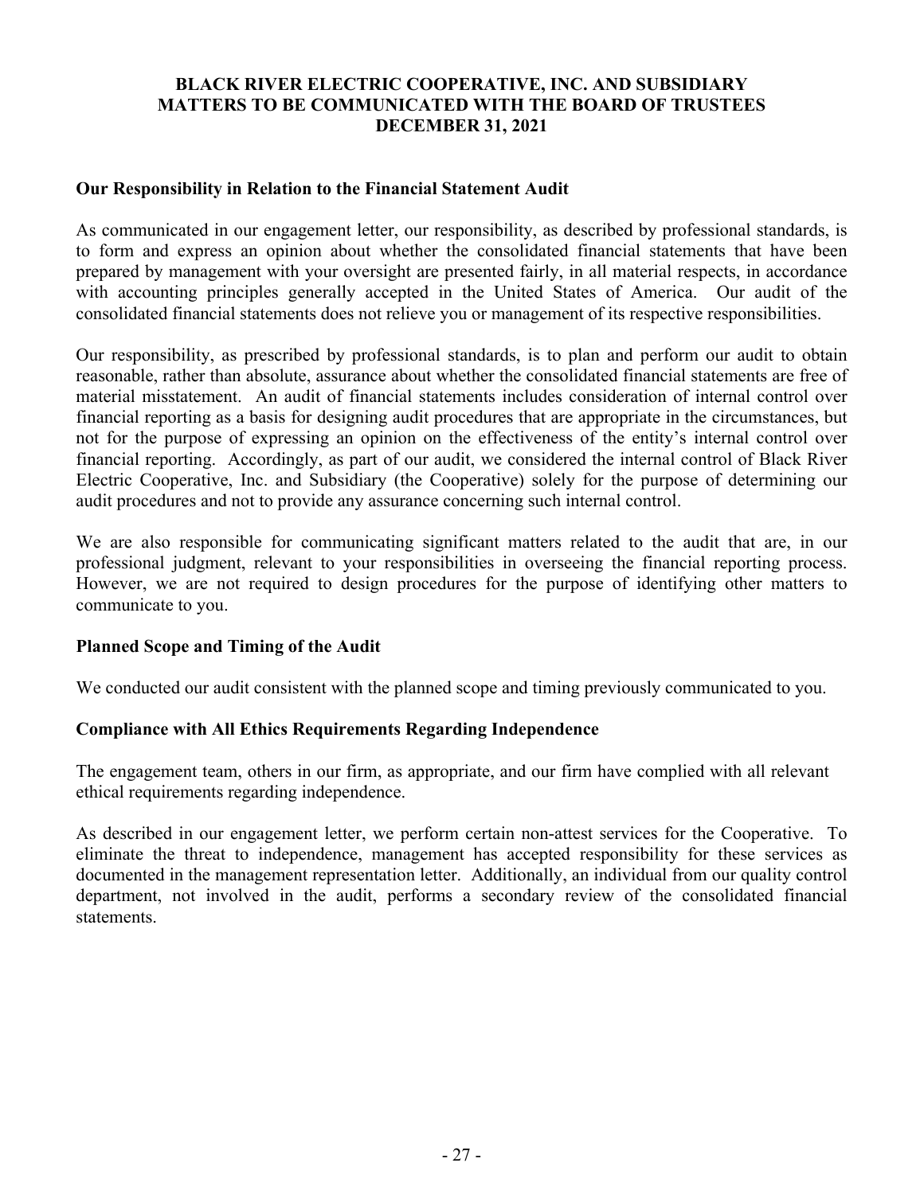## **BLACK RIVER ELECTRIC COOPERATIVE, INC. AND SUBSIDIARY MATTERS TO BE COMMUNICATED WITH THE BOARD OF TRUSTEES DECEMBER 31, 2021**

### **Our Responsibility in Relation to the Financial Statement Audit**

As communicated in our engagement letter, our responsibility, as described by professional standards, is to form and express an opinion about whether the consolidated financial statements that have been prepared by management with your oversight are presented fairly, in all material respects, in accordance with accounting principles generally accepted in the United States of America. Our audit of the consolidated financial statements does not relieve you or management of its respective responsibilities.

Our responsibility, as prescribed by professional standards, is to plan and perform our audit to obtain reasonable, rather than absolute, assurance about whether the consolidated financial statements are free of material misstatement. An audit of financial statements includes consideration of internal control over financial reporting as a basis for designing audit procedures that are appropriate in the circumstances, but not for the purpose of expressing an opinion on the effectiveness of the entity's internal control over financial reporting. Accordingly, as part of our audit, we considered the internal control of Black River Electric Cooperative, Inc. and Subsidiary (the Cooperative) solely for the purpose of determining our audit procedures and not to provide any assurance concerning such internal control.

We are also responsible for communicating significant matters related to the audit that are, in our professional judgment, relevant to your responsibilities in overseeing the financial reporting process. However, we are not required to design procedures for the purpose of identifying other matters to communicate to you.

### **Planned Scope and Timing of the Audit**

We conducted our audit consistent with the planned scope and timing previously communicated to you.

### **Compliance with All Ethics Requirements Regarding Independence**

The engagement team, others in our firm, as appropriate, and our firm have complied with all relevant ethical requirements regarding independence.

As described in our engagement letter, we perform certain non-attest services for the Cooperative. To eliminate the threat to independence, management has accepted responsibility for these services as documented in the management representation letter. Additionally, an individual from our quality control department, not involved in the audit, performs a secondary review of the consolidated financial statements.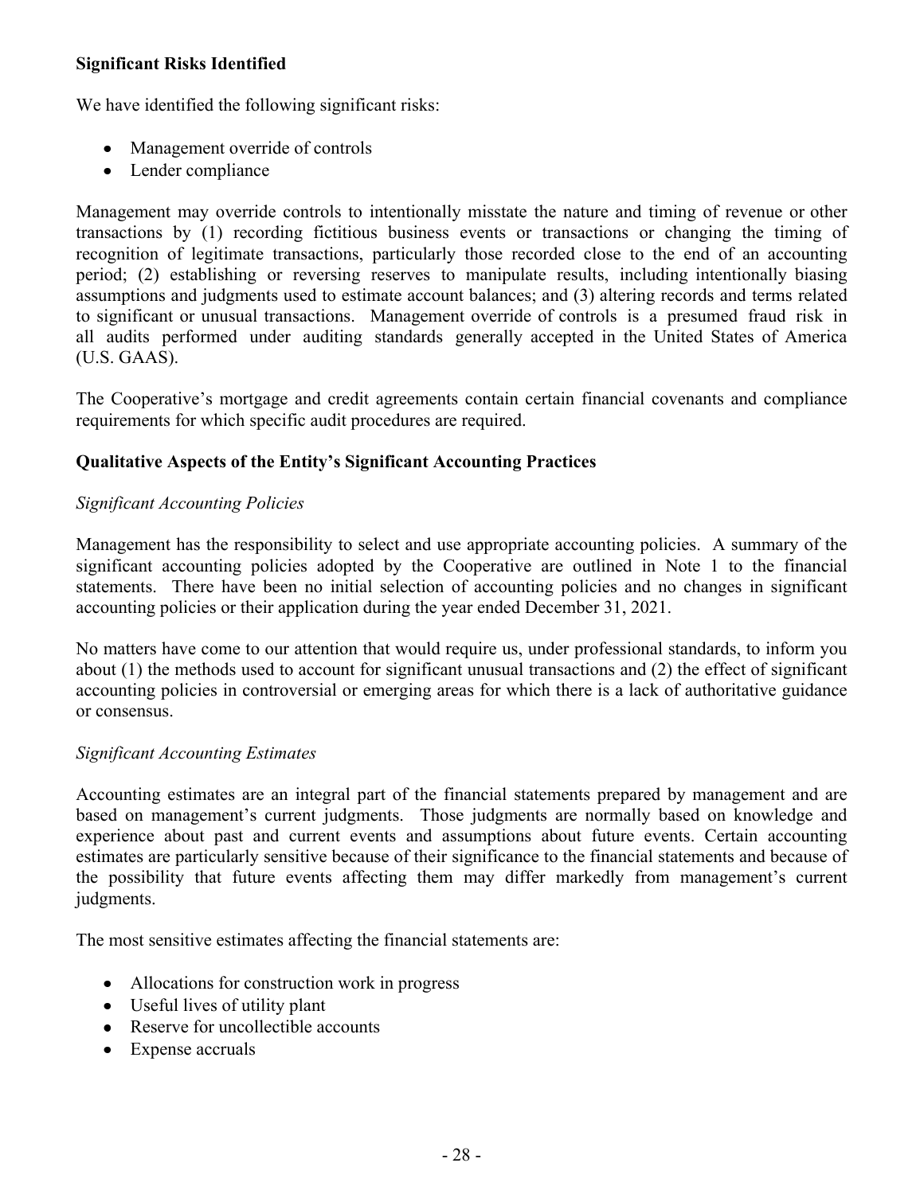## **Significant Risks Identified**

We have identified the following significant risks:

- Management override of controls
- Lender compliance

Management may override controls to intentionally misstate the nature and timing of revenue or other transactions by (1) recording fictitious business events or transactions or changing the timing of recognition of legitimate transactions, particularly those recorded close to the end of an accounting period; (2) establishing or reversing reserves to manipulate results, including intentionally biasing assumptions and judgments used to estimate account balances; and (3) altering records and terms related to significant or unusual transactions. Management override of controls is a presumed fraud risk in all audits performed under auditing standards generally accepted in the United States of America (U.S. GAAS).

The Cooperative's mortgage and credit agreements contain certain financial covenants and compliance requirements for which specific audit procedures are required.

# **Qualitative Aspects of the Entity's Significant Accounting Practices**

# *Significant Accounting Policies*

Management has the responsibility to select and use appropriate accounting policies. A summary of the significant accounting policies adopted by the Cooperative are outlined in Note 1 to the financial statements. There have been no initial selection of accounting policies and no changes in significant accounting policies or their application during the year ended December 31, 2021.

No matters have come to our attention that would require us, under professional standards, to inform you about (1) the methods used to account for significant unusual transactions and (2) the effect of significant accounting policies in controversial or emerging areas for which there is a lack of authoritative guidance or consensus.

### *Significant Accounting Estimates*

Accounting estimates are an integral part of the financial statements prepared by management and are based on management's current judgments. Those judgments are normally based on knowledge and experience about past and current events and assumptions about future events. Certain accounting estimates are particularly sensitive because of their significance to the financial statements and because of the possibility that future events affecting them may differ markedly from management's current judgments.

The most sensitive estimates affecting the financial statements are:

- Allocations for construction work in progress
- Useful lives of utility plant
- Reserve for uncollectible accounts
- Expense accruals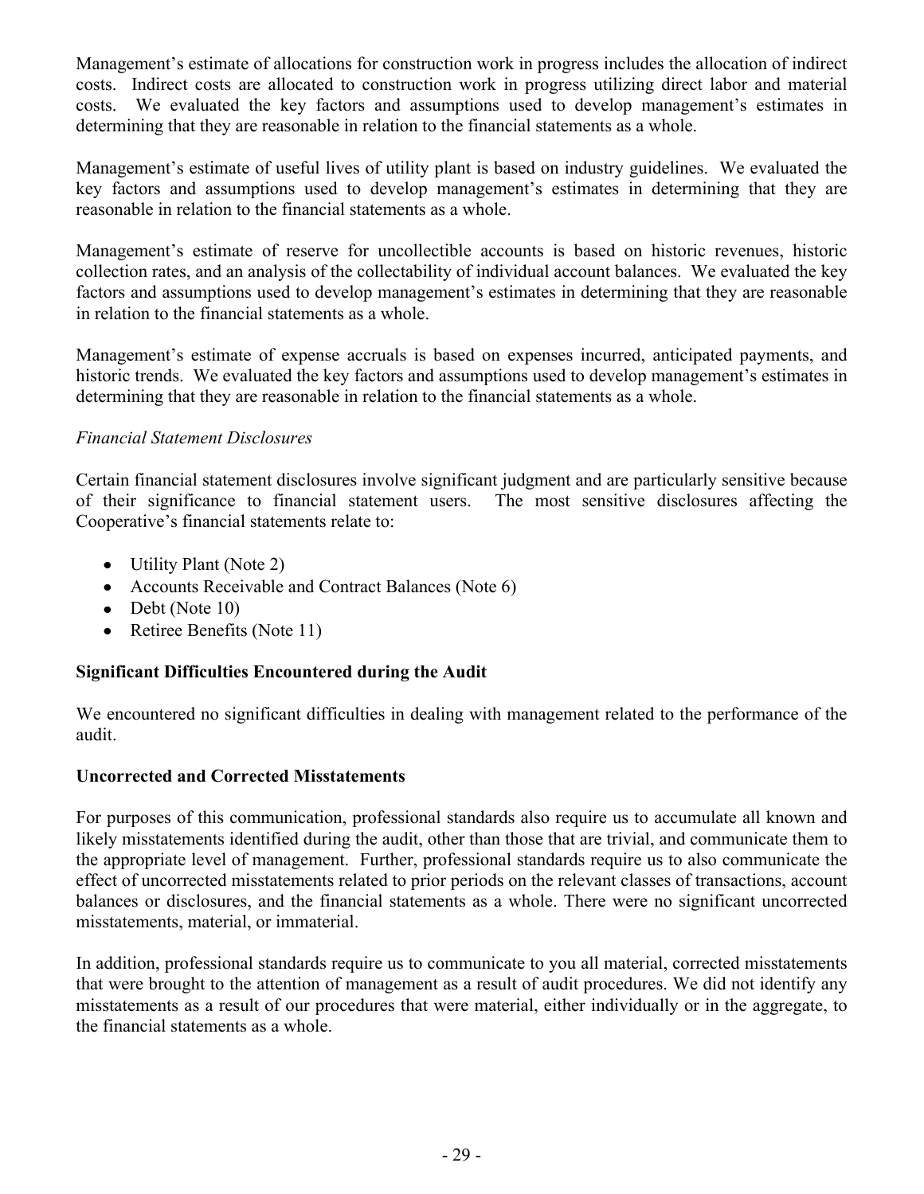Management's estimate of allocations for construction work in progress includes the allocation of indirect costs. Indirect costs are allocated to construction work in progress utilizing direct labor and material costs. We evaluated the key factors and assumptions used to develop management's estimates in determining that they are reasonable in relation to the financial statements as a whole.

Management's estimate of useful lives of utility plant is based on industry guidelines. We evaluated the key factors and assumptions used to develop management's estimates in determining that they are reasonable in relation to the financial statements as a whole.

Management's estimate of reserve for uncollectible accounts is based on historic revenues, historic collection rates, and an analysis of the collectability of individual account balances. We evaluated the key factors and assumptions used to develop management's estimates in determining that they are reasonable in relation to the financial statements as a whole.

Management's estimate of expense accruals is based on expenses incurred, anticipated payments, and historic trends. We evaluated the key factors and assumptions used to develop management's estimates in determining that they are reasonable in relation to the financial statements as a whole.

### *Financial Statement Disclosures*

Certain financial statement disclosures involve significant judgment and are particularly sensitive because of their significance to financial statement users. The most sensitive disclosures affecting the Cooperative's financial statements relate to:

- Utility Plant (Note 2)
- Accounts Receivable and Contract Balances (Note 6)
- Debt (Note 10)
- Retiree Benefits (Note 11)

### **Significant Difficulties Encountered during the Audit**

We encountered no significant difficulties in dealing with management related to the performance of the audit.

### **Uncorrected and Corrected Misstatements**

For purposes of this communication, professional standards also require us to accumulate all known and likely misstatements identified during the audit, other than those that are trivial, and communicate them to the appropriate level of management. Further, professional standards require us to also communicate the effect of uncorrected misstatements related to prior periods on the relevant classes of transactions, account balances or disclosures, and the financial statements as a whole. There were no significant uncorrected misstatements, material, or immaterial.

In addition, professional standards require us to communicate to you all material, corrected misstatements that were brought to the attention of management as a result of audit procedures. We did not identify any misstatements as a result of our procedures that were material, either individually or in the aggregate, to the financial statements as a whole.